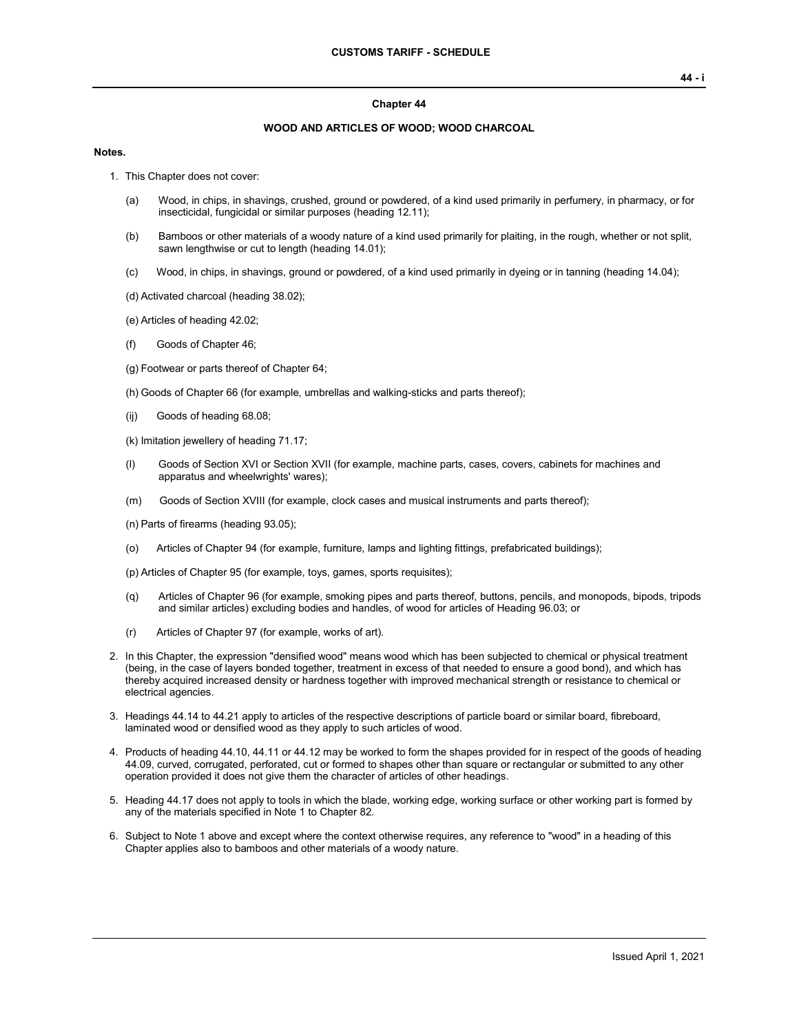#### **Chapter 44**

### **WOOD AND ARTICLES OF WOOD; WOOD CHARCOAL**

#### **Notes.**

- 1. This Chapter does not cover:
	- (a) Wood, in chips, in shavings, crushed, ground or powdered, of a kind used primarily in perfumery, in pharmacy, or for insecticidal, fungicidal or similar purposes (heading 12.11);
	- (b) Bamboos or other materials of a woody nature of a kind used primarily for plaiting, in the rough, whether or not split, sawn lengthwise or cut to length (heading 14.01);
	- (c) Wood, in chips, in shavings, ground or powdered, of a kind used primarily in dyeing or in tanning (heading 14.04);
	- (d) Activated charcoal (heading 38.02);
	- (e) Articles of heading 42.02;
	- (f) Goods of Chapter 46;
	- (g) Footwear or parts thereof of Chapter 64;
	- (h) Goods of Chapter 66 (for example, umbrellas and walking-sticks and parts thereof);
	- (ij) Goods of heading 68.08;
	- (k) Imitation jewellery of heading 71.17;
	- (l) Goods of Section XVI or Section XVII (for example, machine parts, cases, covers, cabinets for machines and apparatus and wheelwrights' wares);
	- (m) Goods of Section XVIII (for example, clock cases and musical instruments and parts thereof);
	- (n) Parts of firearms (heading 93.05);
	- (o) Articles of Chapter 94 (for example, furniture, lamps and lighting fittings, prefabricated buildings);
	- (p) Articles of Chapter 95 (for example, toys, games, sports requisites);
	- (q) Articles of Chapter 96 (for example, smoking pipes and parts thereof, buttons, pencils, and monopods, bipods, tripods and similar articles) excluding bodies and handles, of wood for articles of Heading 96.03; or
	- (r) Articles of Chapter 97 (for example, works of art).
- 2. In this Chapter, the expression "densified wood" means wood which has been subjected to chemical or physical treatment (being, in the case of layers bonded together, treatment in excess of that needed to ensure a good bond), and which has thereby acquired increased density or hardness together with improved mechanical strength or resistance to chemical or electrical agencies.
- 3. Headings 44.14 to 44.21 apply to articles of the respective descriptions of particle board or similar board, fibreboard, laminated wood or densified wood as they apply to such articles of wood.
- 4. Products of heading 44.10, 44.11 or 44.12 may be worked to form the shapes provided for in respect of the goods of heading 44.09, curved, corrugated, perforated, cut or formed to shapes other than square or rectangular or submitted to any other operation provided it does not give them the character of articles of other headings.
- 5. Heading 44.17 does not apply to tools in which the blade, working edge, working surface or other working part is formed by any of the materials specified in Note 1 to Chapter 82.
- 6. Subject to Note 1 above and except where the context otherwise requires, any reference to "wood" in a heading of this Chapter applies also to bamboos and other materials of a woody nature.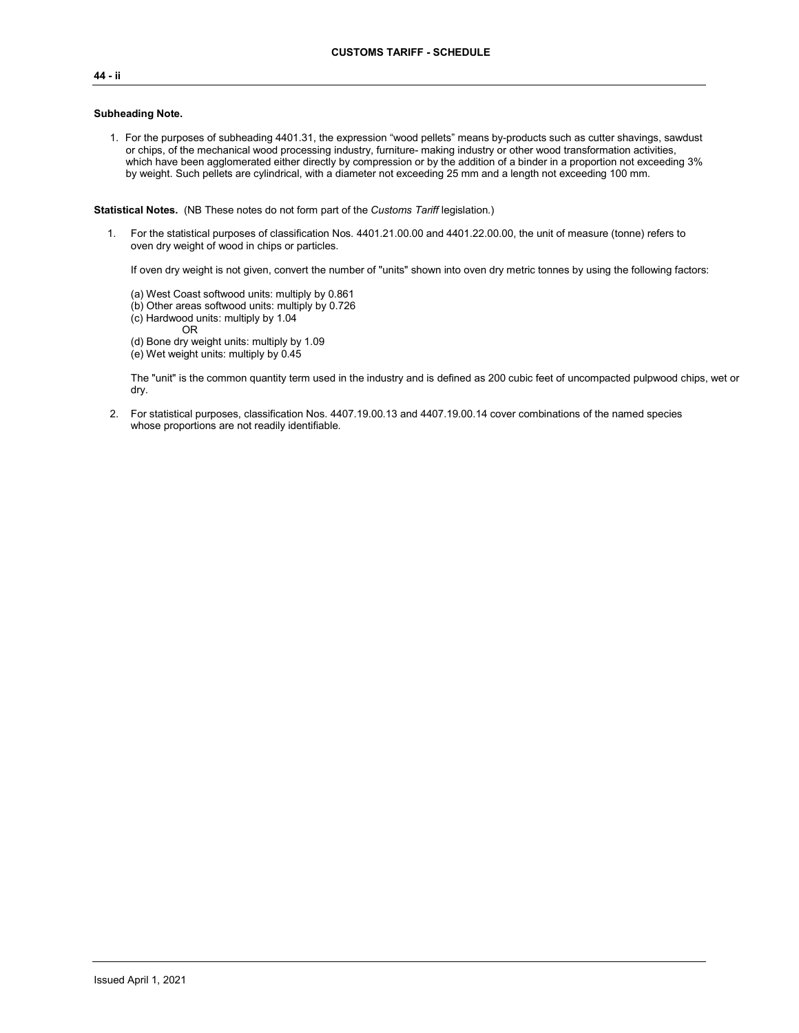# **44 - ii**

#### **Subheading Note.**

1. For the purposes of subheading 4401.31, the expression "wood pellets" means by-products such as cutter shavings, sawdust or chips, of the mechanical wood processing industry, furniture- making industry or other wood transformation activities, which have been agglomerated either directly by compression or by the addition of a binder in a proportion not exceeding 3% by weight. Such pellets are cylindrical, with a diameter not exceeding 25 mm and a length not exceeding 100 mm.

**Statistical Notes.** (NB These notes do not form part of the *Customs Tariff* legislation.)

1. For the statistical purposes of classification Nos. 4401.21.00.00 and 4401.22.00.00, the unit of measure (tonne) refers to oven dry weight of wood in chips or particles.

If oven dry weight is not given, convert the number of "units" shown into oven dry metric tonnes by using the following factors:

- (a) West Coast softwood units: multiply by 0.861
- (b) Other areas softwood units: multiply by 0.726 (c) Hardwood units: multiply by 1.04
	-
- OR

(d) Bone dry weight units: multiply by 1.09 (e) Wet weight units: multiply by 0.45

The "unit" is the common quantity term used in the industry and is defined as 200 cubic feet of uncompacted pulpwood chips, wet or dry.

2. For statistical purposes, classification Nos. 4407.19.00.13 and 4407.19.00.14 cover combinations of the named species whose proportions are not readily identifiable.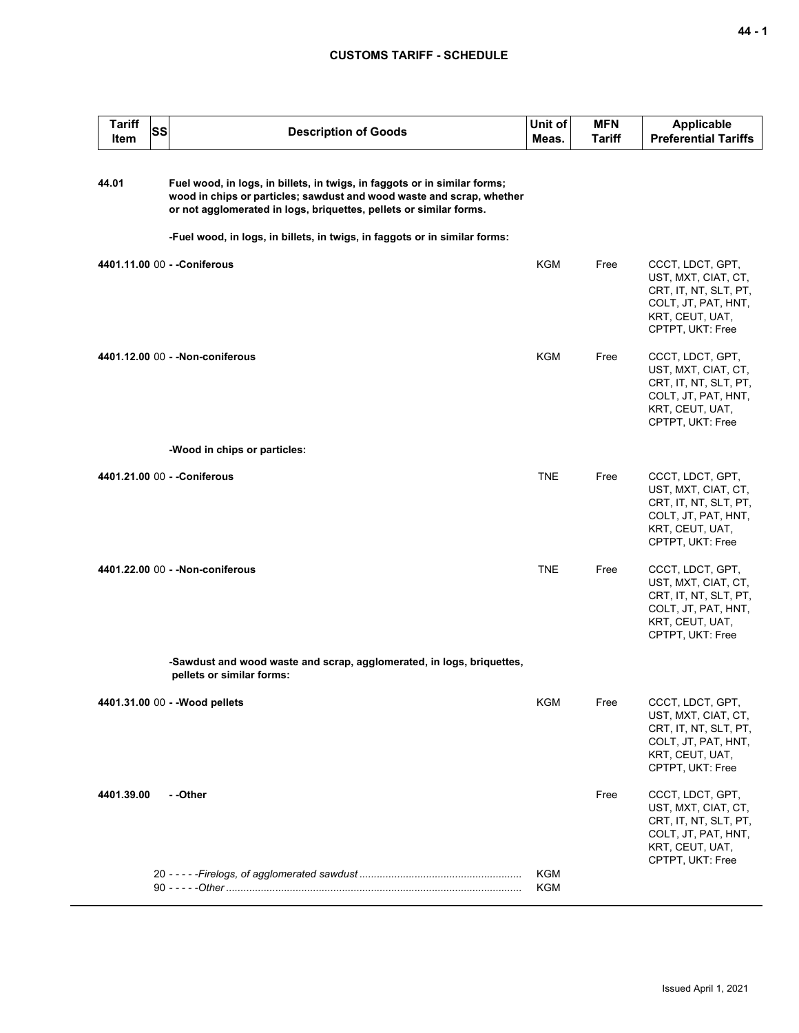| <b>Tariff</b><br><b>SS</b><br>Item | <b>Description of Goods</b>                                                                                                                                                                                                                                                                            | Unit of<br>Meas.  | <b>MFN</b><br>Tariff | <b>Applicable</b><br><b>Preferential Tariffs</b>                                                                               |
|------------------------------------|--------------------------------------------------------------------------------------------------------------------------------------------------------------------------------------------------------------------------------------------------------------------------------------------------------|-------------------|----------------------|--------------------------------------------------------------------------------------------------------------------------------|
| 44.01                              | Fuel wood, in logs, in billets, in twigs, in faggots or in similar forms;<br>wood in chips or particles; sawdust and wood waste and scrap, whether<br>or not agglomerated in logs, briquettes, pellets or similar forms.<br>-Fuel wood, in logs, in billets, in twigs, in faggots or in similar forms: |                   |                      |                                                                                                                                |
|                                    | 4401.11.00 00 - - Coniferous                                                                                                                                                                                                                                                                           | KGM               | Free                 | CCCT, LDCT, GPT,<br>UST, MXT, CIAT, CT,<br>CRT, IT, NT, SLT, PT,<br>COLT, JT, PAT, HNT,<br>KRT, CEUT, UAT,<br>CPTPT, UKT: Free |
|                                    | 4401.12.00 00 - - Non-coniferous                                                                                                                                                                                                                                                                       | <b>KGM</b>        | Free                 | CCCT, LDCT, GPT,<br>UST, MXT, CIAT, CT,<br>CRT, IT, NT, SLT, PT,<br>COLT, JT, PAT, HNT,<br>KRT, CEUT, UAT,<br>CPTPT, UKT: Free |
|                                    | -Wood in chips or particles:                                                                                                                                                                                                                                                                           |                   |                      |                                                                                                                                |
|                                    | 4401.21.00 00 - - Coniferous                                                                                                                                                                                                                                                                           | <b>TNE</b>        | Free                 | CCCT, LDCT, GPT,<br>UST, MXT, CIAT, CT,<br>CRT, IT, NT, SLT, PT,<br>COLT, JT, PAT, HNT,<br>KRT, CEUT, UAT,<br>CPTPT, UKT: Free |
|                                    | 4401.22.00 00 - - Non-coniferous                                                                                                                                                                                                                                                                       | <b>TNE</b>        | Free                 | CCCT, LDCT, GPT,<br>UST, MXT, CIAT, CT,<br>CRT, IT, NT, SLT, PT,<br>COLT, JT, PAT, HNT,<br>KRT, CEUT, UAT,<br>CPTPT, UKT: Free |
|                                    | -Sawdust and wood waste and scrap, agglomerated, in logs, briquettes,<br>pellets or similar forms:                                                                                                                                                                                                     |                   |                      |                                                                                                                                |
|                                    | 4401.31.00 00 - - Wood pellets                                                                                                                                                                                                                                                                         | <b>KGM</b>        | Free                 | CCCT, LDCT, GPT,<br>UST, MXT, CIAT, CT,<br>CRT, IT, NT, SLT, PT,<br>COLT, JT, PAT, HNT,<br>KRT, CEUT, UAT,<br>CPTPT, UKT: Free |
| 4401.39.00                         | - -Other                                                                                                                                                                                                                                                                                               |                   | Free                 | CCCT, LDCT, GPT,<br>UST, MXT, CIAT, CT,<br>CRT, IT, NT, SLT, PT,<br>COLT, JT, PAT, HNT,<br>KRT, CEUT, UAT,<br>CPTPT, UKT: Free |
|                                    |                                                                                                                                                                                                                                                                                                        | <b>KGM</b><br>KGM |                      |                                                                                                                                |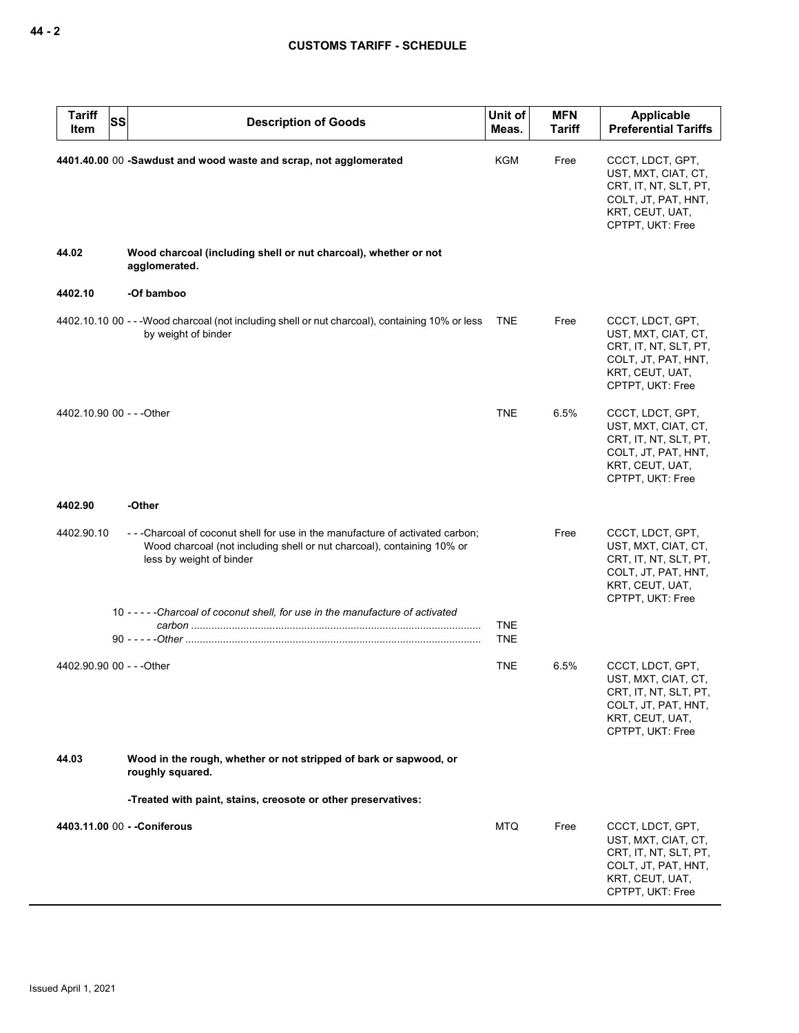| <b>Tariff</b><br>SS<br>Item | <b>Description of Goods</b>                                                                                                                                                        | Unit of<br>Meas. | <b>MFN</b><br><b>Tariff</b> | Applicable<br><b>Preferential Tariffs</b>                                                                                      |
|-----------------------------|------------------------------------------------------------------------------------------------------------------------------------------------------------------------------------|------------------|-----------------------------|--------------------------------------------------------------------------------------------------------------------------------|
|                             | 4401.40.00 00 -Sawdust and wood waste and scrap, not agglomerated                                                                                                                  | KGM              | Free                        | CCCT, LDCT, GPT,<br>UST, MXT, CIAT, CT,<br>CRT, IT, NT, SLT, PT,<br>COLT, JT, PAT, HNT,<br>KRT, CEUT, UAT,<br>CPTPT, UKT: Free |
| 44.02                       | Wood charcoal (including shell or nut charcoal), whether or not<br>agglomerated.                                                                                                   |                  |                             |                                                                                                                                |
| 4402.10                     | -Of bamboo                                                                                                                                                                         |                  |                             |                                                                                                                                |
|                             | 4402.10.10 00 - - - Wood charcoal (not including shell or nut charcoal), containing 10% or less<br>by weight of binder                                                             | <b>TNE</b>       | Free                        | CCCT, LDCT, GPT,<br>UST, MXT, CIAT, CT,<br>CRT, IT, NT, SLT, PT,<br>COLT, JT, PAT, HNT,<br>KRT, CEUT, UAT,<br>CPTPT, UKT: Free |
| 4402.10.90 00 - - - Other   |                                                                                                                                                                                    | <b>TNE</b>       | 6.5%                        | CCCT, LDCT, GPT,<br>UST, MXT, CIAT, CT,<br>CRT, IT, NT, SLT, PT,<br>COLT, JT, PAT, HNT,<br>KRT, CEUT, UAT,<br>CPTPT, UKT: Free |
| 4402.90                     | -Other                                                                                                                                                                             |                  |                             |                                                                                                                                |
| 4402.90.10                  | ---Charcoal of coconut shell for use in the manufacture of activated carbon;<br>Wood charcoal (not including shell or nut charcoal), containing 10% or<br>less by weight of binder |                  | Free                        | CCCT, LDCT, GPT,<br>UST, MXT, CIAT, CT,<br>CRT, IT, NT, SLT, PT,<br>COLT, JT, PAT, HNT,<br>KRT, CEUT, UAT,<br>CPTPT, UKT: Free |
|                             | 10 -----Charcoal of coconut shell, for use in the manufacture of activated                                                                                                         | <b>TNE</b>       |                             |                                                                                                                                |
|                             |                                                                                                                                                                                    | <b>TNE</b>       |                             |                                                                                                                                |
| 4402.90.90 00 - - - Other   |                                                                                                                                                                                    | TNE              | 6.5%                        | CCCT, LDCT, GPT,<br>UST, MXT, CIAT, CT,<br>CRT, IT, NT, SLT, PT,<br>COLT, JT, PAT, HNT,<br>KRT, CEUT, UAT,<br>CPTPT, UKT: Free |
| 44.03                       | Wood in the rough, whether or not stripped of bark or sapwood, or<br>roughly squared.                                                                                              |                  |                             |                                                                                                                                |
|                             | -Treated with paint, stains, creosote or other preservatives:                                                                                                                      |                  |                             |                                                                                                                                |
|                             | 4403.11.00 00 - - Coniferous                                                                                                                                                       | <b>MTQ</b>       | Free                        | CCCT, LDCT, GPT,<br>UST, MXT, CIAT, CT,<br>CRT, IT, NT, SLT, PT,<br>COLT, JT, PAT, HNT,<br>KRT, CEUT, UAT,<br>CPTPT, UKT: Free |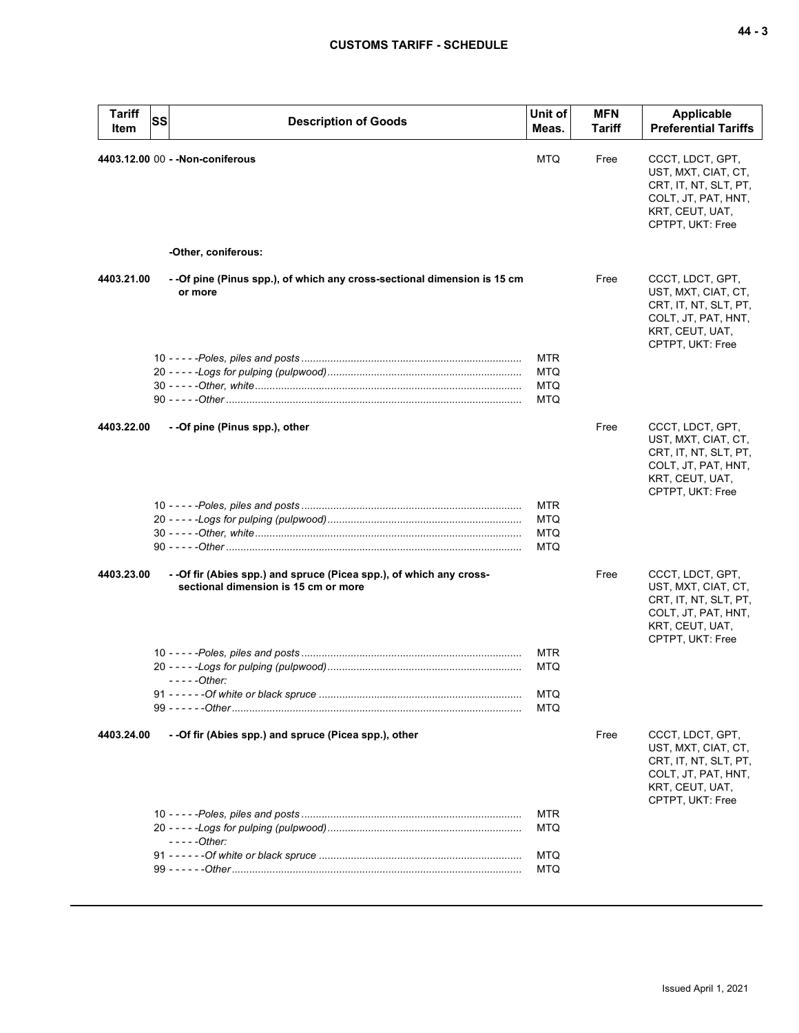| <b>Tariff</b><br>Item | <b>SS</b> | <b>Description of Goods</b>                                                                                 | Unit of<br>Meas.                                     | <b>MFN</b><br>Tariff | Applicable<br><b>Preferential Tariffs</b>                                                                                      |
|-----------------------|-----------|-------------------------------------------------------------------------------------------------------------|------------------------------------------------------|----------------------|--------------------------------------------------------------------------------------------------------------------------------|
|                       |           | 4403.12.00 00 - - Non-coniferous                                                                            | <b>MTQ</b>                                           | Free                 | CCCT, LDCT, GPT,<br>UST, MXT, CIAT, CT,<br>CRT, IT, NT, SLT, PT,<br>COLT, JT, PAT, HNT,<br>KRT, CEUT, UAT,<br>CPTPT, UKT: Free |
|                       |           | -Other, coniferous:                                                                                         |                                                      |                      |                                                                                                                                |
| 4403.21.00            |           | - -Of pine (Pinus spp.), of which any cross-sectional dimension is 15 cm<br>or more                         |                                                      | Free                 | CCCT, LDCT, GPT,<br>UST, MXT, CIAT, CT,<br>CRT, IT, NT, SLT, PT,<br>COLT, JT, PAT, HNT,<br>KRT, CEUT, UAT,<br>CPTPT, UKT: Free |
|                       |           |                                                                                                             | <b>MTR</b><br><b>MTQ</b><br><b>MTQ</b><br><b>MTQ</b> |                      |                                                                                                                                |
| 4403.22.00            |           | - -Of pine (Pinus spp.), other                                                                              |                                                      | Free                 | CCCT, LDCT, GPT,<br>UST, MXT, CIAT, CT,<br>CRT, IT, NT, SLT, PT,<br>COLT, JT, PAT, HNT,<br>KRT, CEUT, UAT,<br>CPTPT, UKT: Free |
|                       |           |                                                                                                             | <b>MTR</b><br><b>MTQ</b><br><b>MTQ</b><br>MTQ        |                      |                                                                                                                                |
| 4403.23.00            |           | - -Of fir (Abies spp.) and spruce (Picea spp.), of which any cross-<br>sectional dimension is 15 cm or more |                                                      | Free                 | CCCT, LDCT, GPT,<br>UST, MXT, CIAT, CT,<br>CRT, IT, NT, SLT, PT,<br>COLT, JT, PAT, HNT,<br>KRT, CEUT, UAT,<br>CPTPT, UKT: Free |
|                       |           | $---Other:$                                                                                                 | <b>MTR</b><br><b>MTQ</b><br>MTQ<br>MTQ               |                      |                                                                                                                                |
| 4403.24.00            |           | - -Of fir (Abies spp.) and spruce (Picea spp.), other                                                       |                                                      | Free                 | CCCT, LDCT, GPT,<br>UST, MXT, CIAT, CT,<br>CRT, IT, NT, SLT, PT,<br>COLT, JT, PAT, HNT,<br>KRT, CEUT, UAT,<br>CPTPT, UKT: Free |
|                       |           | $---Other:$                                                                                                 | MTR<br>MTQ                                           |                      |                                                                                                                                |
|                       |           |                                                                                                             | <b>MTQ</b><br>MTQ                                    |                      |                                                                                                                                |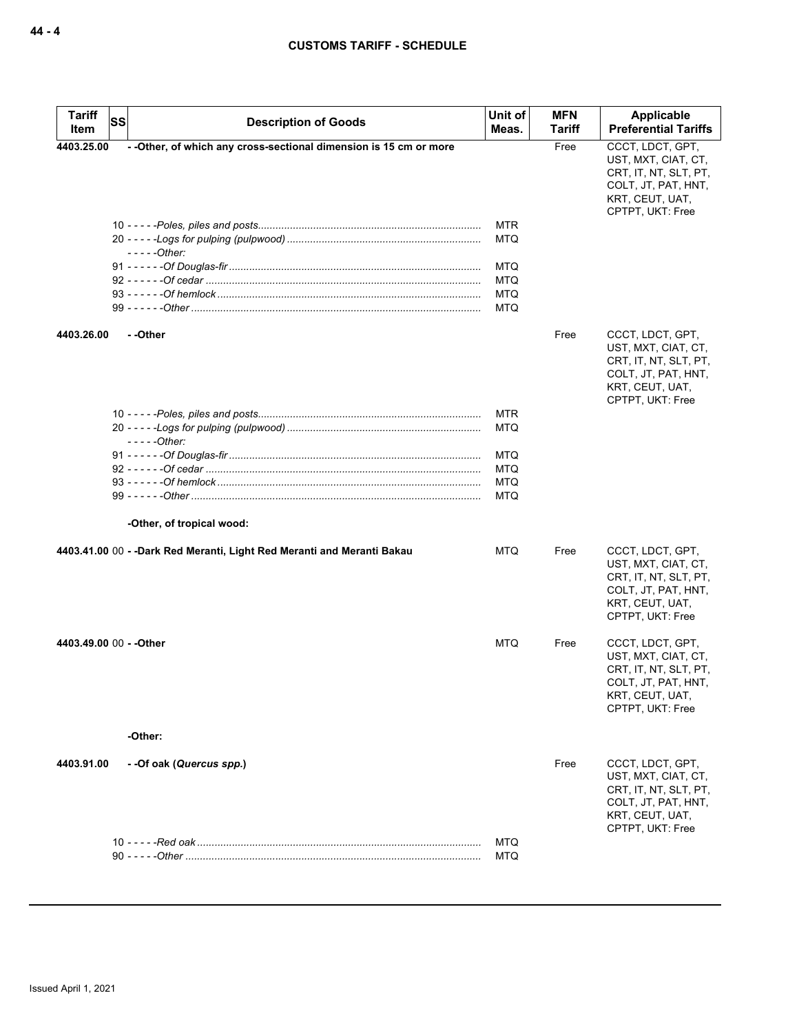| <b>Tariff</b><br>Item   | SS | <b>Description of Goods</b>                                            | Unit of<br>Meas. | <b>MFN</b><br>Tariff | Applicable<br><b>Preferential Tariffs</b>                                                                                      |
|-------------------------|----|------------------------------------------------------------------------|------------------|----------------------|--------------------------------------------------------------------------------------------------------------------------------|
| 4403.25.00              |    | - - Other, of which any cross-sectional dimension is 15 cm or more     |                  | Free                 | CCCT, LDCT, GPT,                                                                                                               |
|                         |    |                                                                        |                  |                      | UST, MXT, CIAT, CT,<br>CRT, IT, NT, SLT, PT,<br>COLT, JT, PAT, HNT,<br>KRT, CEUT, UAT,<br>CPTPT, UKT: Free                     |
|                         |    |                                                                        | <b>MTR</b>       |                      |                                                                                                                                |
|                         |    |                                                                        | MTQ              |                      |                                                                                                                                |
|                         |    | - - - - - Other:                                                       |                  |                      |                                                                                                                                |
|                         |    |                                                                        | MTQ              |                      |                                                                                                                                |
|                         |    |                                                                        | MTQ              |                      |                                                                                                                                |
|                         |    |                                                                        | <b>MTQ</b>       |                      |                                                                                                                                |
|                         |    |                                                                        | MTQ              |                      |                                                                                                                                |
| 4403.26.00              |    | - -Other                                                               |                  | Free                 | CCCT, LDCT, GPT,<br>UST, MXT, CIAT, CT,<br>CRT, IT, NT, SLT, PT,<br>COLT, JT, PAT, HNT,<br>KRT, CEUT, UAT,<br>CPTPT, UKT: Free |
|                         |    |                                                                        | MTR              |                      |                                                                                                                                |
|                         |    |                                                                        | MTQ              |                      |                                                                                                                                |
|                         |    | - - - - - Other:                                                       |                  |                      |                                                                                                                                |
|                         |    |                                                                        | MTQ              |                      |                                                                                                                                |
|                         |    |                                                                        | MTQ              |                      |                                                                                                                                |
|                         |    |                                                                        | MTQ              |                      |                                                                                                                                |
|                         |    |                                                                        | MTQ              |                      |                                                                                                                                |
|                         |    | -Other, of tropical wood:                                              |                  |                      |                                                                                                                                |
|                         |    | 4403.41.00 00 - -Dark Red Meranti, Light Red Meranti and Meranti Bakau | MTQ              | Free                 | CCCT, LDCT, GPT,<br>UST, MXT, CIAT, CT,<br>CRT, IT, NT, SLT, PT,<br>COLT, JT, PAT, HNT,<br>KRT, CEUT, UAT,<br>CPTPT, UKT: Free |
| 4403.49.00 00 - - Other |    |                                                                        | MTQ              | Free                 | CCCT, LDCT, GPT,<br>UST, MXT, CIAT, CT,<br>CRT, IT, NT, SLT, PT,<br>COLT, JT, PAT, HNT,<br>KRT, CEUT, UAT,<br>CPTPT, UKT: Free |
|                         |    | -Other:                                                                |                  |                      |                                                                                                                                |
| 4403.91.00              |    | - -Of oak (Quercus spp.)                                               |                  | Free                 | CCCT, LDCT, GPT,<br>UST, MXT, CIAT, CT,<br>CRT, IT, NT, SLT, PT,<br>COLT, JT, PAT, HNT,<br>KRT, CEUT, UAT,<br>CPTPT, UKT: Free |
|                         |    |                                                                        | MTQ<br>MTQ       |                      |                                                                                                                                |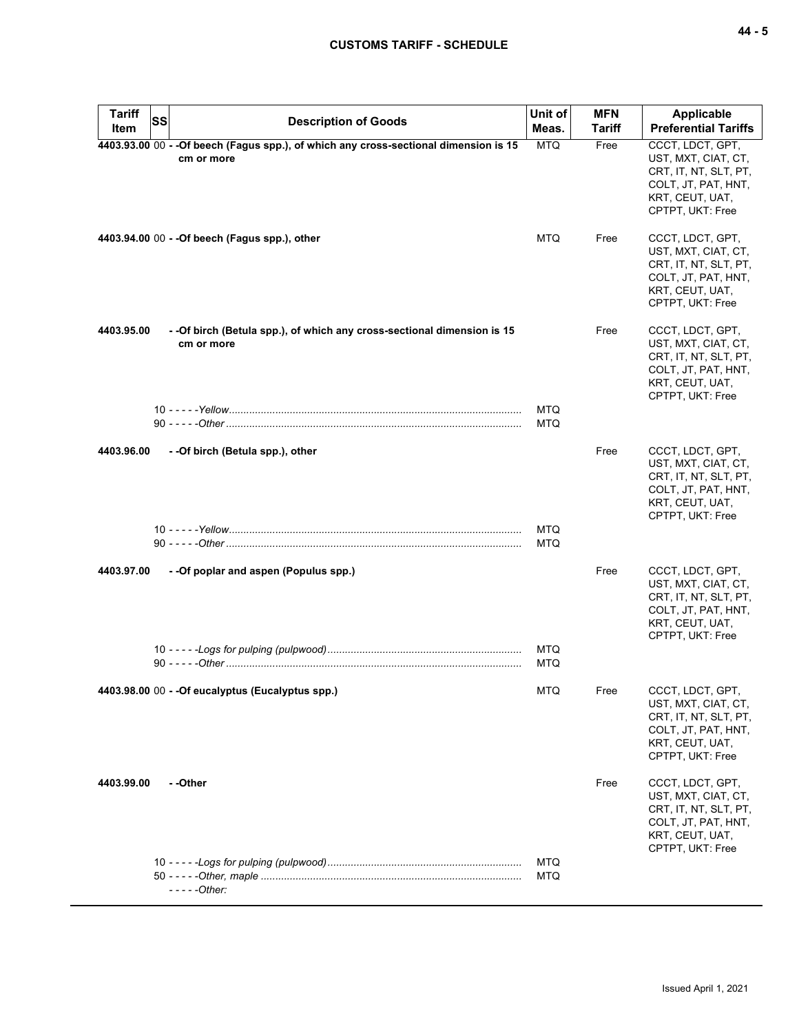| <b>Tariff</b><br><b>SS</b> | <b>Description of Goods</b>                                                                         | Unit of                  | <b>MFN</b>    | <b>Applicable</b>                                                                                                              |
|----------------------------|-----------------------------------------------------------------------------------------------------|--------------------------|---------------|--------------------------------------------------------------------------------------------------------------------------------|
| Item                       |                                                                                                     | Meas.                    | <b>Tariff</b> | <b>Preferential Tariffs</b>                                                                                                    |
|                            | 4403.93.00 00 - - Of beech (Fagus spp.), of which any cross-sectional dimension is 15<br>cm or more | <b>MTQ</b>               | Free          | CCCT, LDCT, GPT,<br>UST, MXT, CIAT, CT,<br>CRT, IT, NT, SLT, PT,<br>COLT, JT, PAT, HNT,<br>KRT, CEUT, UAT,<br>CPTPT, UKT: Free |
|                            | 4403.94.00 00 - - Of beech (Fagus spp.), other                                                      | <b>MTQ</b>               | Free          | CCCT, LDCT, GPT,<br>UST, MXT, CIAT, CT,<br>CRT, IT, NT, SLT, PT,<br>COLT, JT, PAT, HNT,<br>KRT, CEUT, UAT,<br>CPTPT, UKT: Free |
| 4403.95.00                 | - - Of birch (Betula spp.), of which any cross-sectional dimension is 15<br>cm or more              | <b>MTQ</b>               | Free          | CCCT, LDCT, GPT,<br>UST, MXT, CIAT, CT,<br>CRT, IT, NT, SLT, PT,<br>COLT, JT, PAT, HNT,<br>KRT, CEUT, UAT,<br>CPTPT, UKT: Free |
|                            |                                                                                                     | <b>MTQ</b>               |               |                                                                                                                                |
| 4403.96.00                 | - - Of birch (Betula spp.), other                                                                   |                          | Free          | CCCT, LDCT, GPT,<br>UST, MXT, CIAT, CT,<br>CRT, IT, NT, SLT, PT,<br>COLT, JT, PAT, HNT,<br>KRT, CEUT, UAT,<br>CPTPT, UKT: Free |
|                            |                                                                                                     | <b>MTQ</b><br>MTQ        |               |                                                                                                                                |
| 4403.97.00                 | - - Of poplar and aspen (Populus spp.)                                                              |                          | Free          | CCCT, LDCT, GPT,<br>UST, MXT, CIAT, CT,<br>CRT, IT, NT, SLT, PT,<br>COLT, JT, PAT, HNT,<br>KRT, CEUT, UAT,<br>CPTPT, UKT: Free |
|                            |                                                                                                     | <b>MTQ</b><br><b>MTQ</b> |               |                                                                                                                                |
|                            | 4403.98.00 00 - - Of eucalyptus (Eucalyptus spp.)                                                   | <b>MTQ</b>               | Free          | CCCT, LDCT, GPT,<br>UST, MXT, CIAT, CT,<br>CRT, IT, NT, SLT, PT,<br>COLT, JT, PAT, HNT,<br>KRT, CEUT, UAT,<br>CPTPT, UKT: Free |
| 4403.99.00                 | - -Other                                                                                            |                          | Free          | CCCT, LDCT, GPT,<br>UST, MXT, CIAT, CT,<br>CRT, IT, NT, SLT, PT,<br>COLT, JT, PAT, HNT,<br>KRT, CEUT, UAT,<br>CPTPT, UKT: Free |
|                            | $---Other:$                                                                                         | <b>MTQ</b><br>MTQ        |               |                                                                                                                                |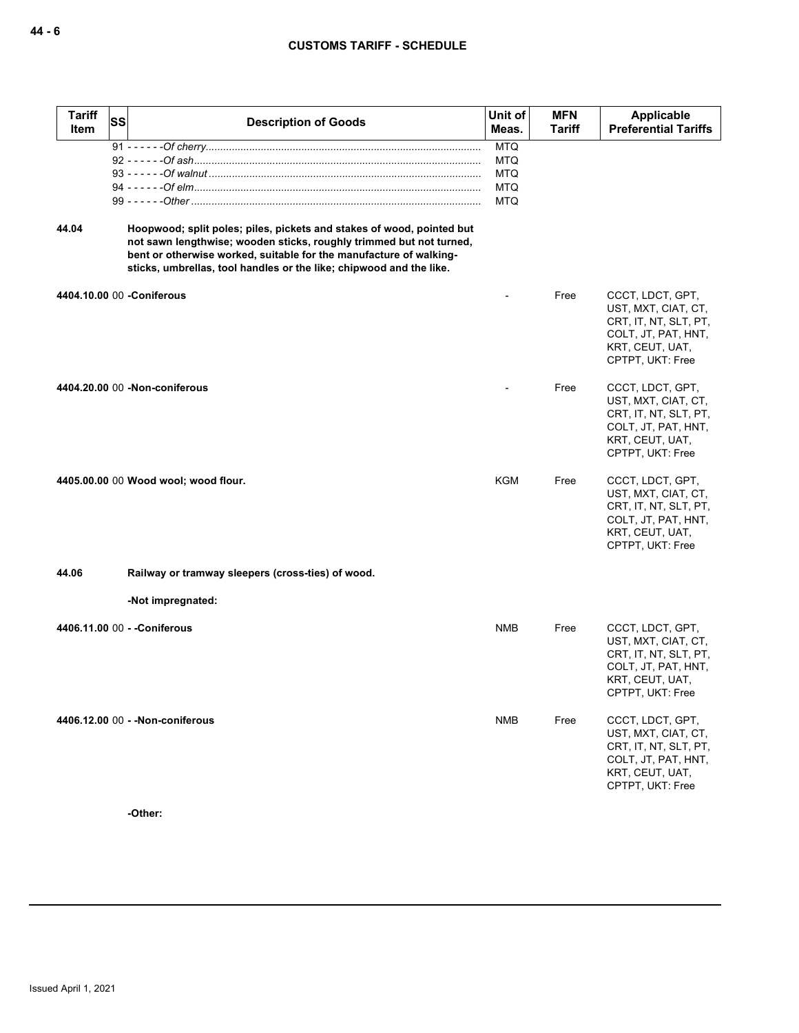| <b>Tariff</b><br>Item | SS | <b>Description of Goods</b>                                                                                                                                                                                                                                                               | Unit of<br>Meas.         | <b>MFN</b><br><b>Tariff</b> | Applicable<br><b>Preferential Tariffs</b>                                                                                      |
|-----------------------|----|-------------------------------------------------------------------------------------------------------------------------------------------------------------------------------------------------------------------------------------------------------------------------------------------|--------------------------|-----------------------------|--------------------------------------------------------------------------------------------------------------------------------|
|                       |    |                                                                                                                                                                                                                                                                                           | <b>MTQ</b>               |                             |                                                                                                                                |
|                       |    |                                                                                                                                                                                                                                                                                           | <b>MTQ</b><br><b>MTQ</b> |                             |                                                                                                                                |
|                       |    |                                                                                                                                                                                                                                                                                           | <b>MTQ</b>               |                             |                                                                                                                                |
|                       |    |                                                                                                                                                                                                                                                                                           | <b>MTQ</b>               |                             |                                                                                                                                |
| 44.04                 |    | Hoopwood; split poles; piles, pickets and stakes of wood, pointed but<br>not sawn lengthwise; wooden sticks, roughly trimmed but not turned,<br>bent or otherwise worked, suitable for the manufacture of walking-<br>sticks, umbrellas, tool handles or the like; chipwood and the like. |                          |                             |                                                                                                                                |
|                       |    | 4404.10.00 00 - Coniferous                                                                                                                                                                                                                                                                |                          | Free                        | CCCT, LDCT, GPT,<br>UST, MXT, CIAT, CT,<br>CRT, IT, NT, SLT, PT,<br>COLT, JT, PAT, HNT,<br>KRT, CEUT, UAT,<br>CPTPT, UKT: Free |
|                       |    | 4404.20.00 00 -Non-coniferous                                                                                                                                                                                                                                                             |                          | Free                        | CCCT, LDCT, GPT,<br>UST, MXT, CIAT, CT,<br>CRT, IT, NT, SLT, PT,<br>COLT, JT, PAT, HNT,<br>KRT, CEUT, UAT,<br>CPTPT, UKT: Free |
|                       |    | 4405.00.00 00 Wood wool; wood flour.                                                                                                                                                                                                                                                      | KGM                      | Free                        | CCCT, LDCT, GPT,<br>UST, MXT, CIAT, CT,<br>CRT, IT, NT, SLT, PT,<br>COLT, JT, PAT, HNT,<br>KRT, CEUT, UAT,<br>CPTPT, UKT: Free |
| 44.06                 |    | Railway or tramway sleepers (cross-ties) of wood.                                                                                                                                                                                                                                         |                          |                             |                                                                                                                                |
|                       |    | -Not impregnated:                                                                                                                                                                                                                                                                         |                          |                             |                                                                                                                                |
|                       |    | 4406.11.00 00 - - Coniferous                                                                                                                                                                                                                                                              | NMB                      | Free                        | CCCT, LDCT, GPT,<br>UST, MXT, CIAT, CT,<br>CRT, IT, NT, SLT, PT,<br>COLT, JT, PAT, HNT,<br>KRT, CEUT, UAT,<br>CPTPT, UKT: Free |
|                       |    | 4406.12.00 00 - - Non-coniferous                                                                                                                                                                                                                                                          | <b>NMB</b>               | Free                        | CCCT, LDCT, GPT,<br>UST, MXT, CIAT, CT,<br>CRT, IT, NT, SLT, PT,<br>COLT, JT, PAT, HNT,<br>KRT, CEUT, UAT,<br>CPTPT, UKT: Free |

**-Other:**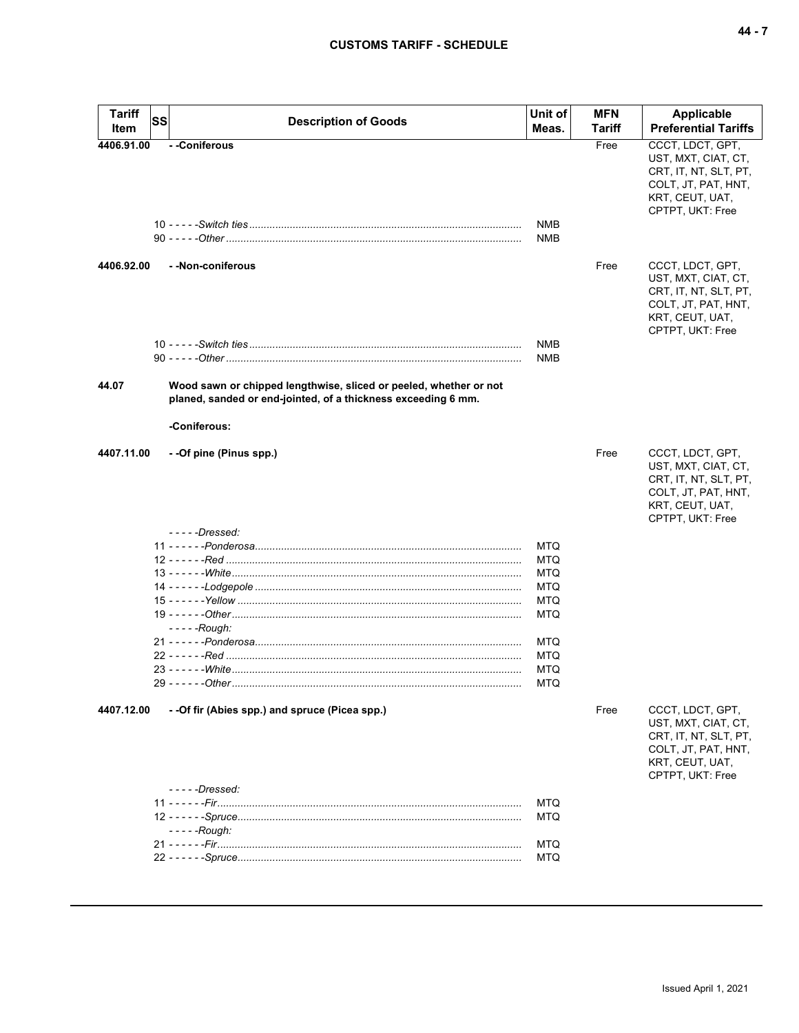|--|--|--|

| <b>Tariff</b><br>Item | SS | <b>Description of Goods</b>                                                   | Unit of<br>Meas.                                                          | <b>MFN</b><br>Tariff | Applicable<br><b>Preferential Tariffs</b>                                                                                      |
|-----------------------|----|-------------------------------------------------------------------------------|---------------------------------------------------------------------------|----------------------|--------------------------------------------------------------------------------------------------------------------------------|
| 4406.91.00            |    | - -Coniferous                                                                 | <b>NMB</b><br><b>NMB</b>                                                  | Free                 | CCCT, LDCT, GPT,<br>UST, MXT, CIAT, CT,<br>CRT, IT, NT, SLT, PT,<br>COLT, JT, PAT, HNT,<br>KRT, CEUT, UAT,<br>CPTPT, UKT: Free |
| 4406.92.00            |    | - - Non-coniferous                                                            |                                                                           | Free                 | CCCT, LDCT, GPT,<br>UST, MXT, CIAT, CT,<br>CRT, IT, NT, SLT, PT,<br>COLT, JT, PAT, HNT,<br>KRT, CEUT, UAT,<br>CPTPT, UKT: Free |
| 44.07                 |    | Wood sawn or chipped lengthwise, sliced or peeled, whether or not             | <b>NMB</b><br><b>NMB</b>                                                  |                      |                                                                                                                                |
|                       |    | planed, sanded or end-jointed, of a thickness exceeding 6 mm.<br>-Coniferous: |                                                                           |                      |                                                                                                                                |
| 4407.11.00            |    | - -Of pine (Pinus spp.)<br>$---Dressed:$                                      |                                                                           | Free                 | CCCT, LDCT, GPT,<br>UST, MXT, CIAT, CT,<br>CRT, IT, NT, SLT, PT,<br>COLT, JT, PAT, HNT,<br>KRT, CEUT, UAT,<br>CPTPT, UKT: Free |
|                       |    | $--$ - - - Rough:                                                             | MTQ<br>MTQ<br>MTQ<br>MTQ<br>MTQ<br><b>MTQ</b><br>MTQ<br>MTQ<br>MTQ<br>MTQ |                      |                                                                                                                                |
| 4407.12.00            |    | - -Of fir (Abies spp.) and spruce (Picea spp.)                                |                                                                           | Free                 | CCCT, LDCT, GPT,<br>UST, MXT, CIAT, CT,<br>CRT, IT, NT, SLT, PT,<br>COLT, JT, PAT, HNT,<br>KRT, CEUT, UAT,<br>CPTPT, UKT: Free |
|                       |    | $---Dressed'$<br>$---$ Rough:                                                 | MTQ<br>MTQ<br>MTQ<br>MTQ                                                  |                      |                                                                                                                                |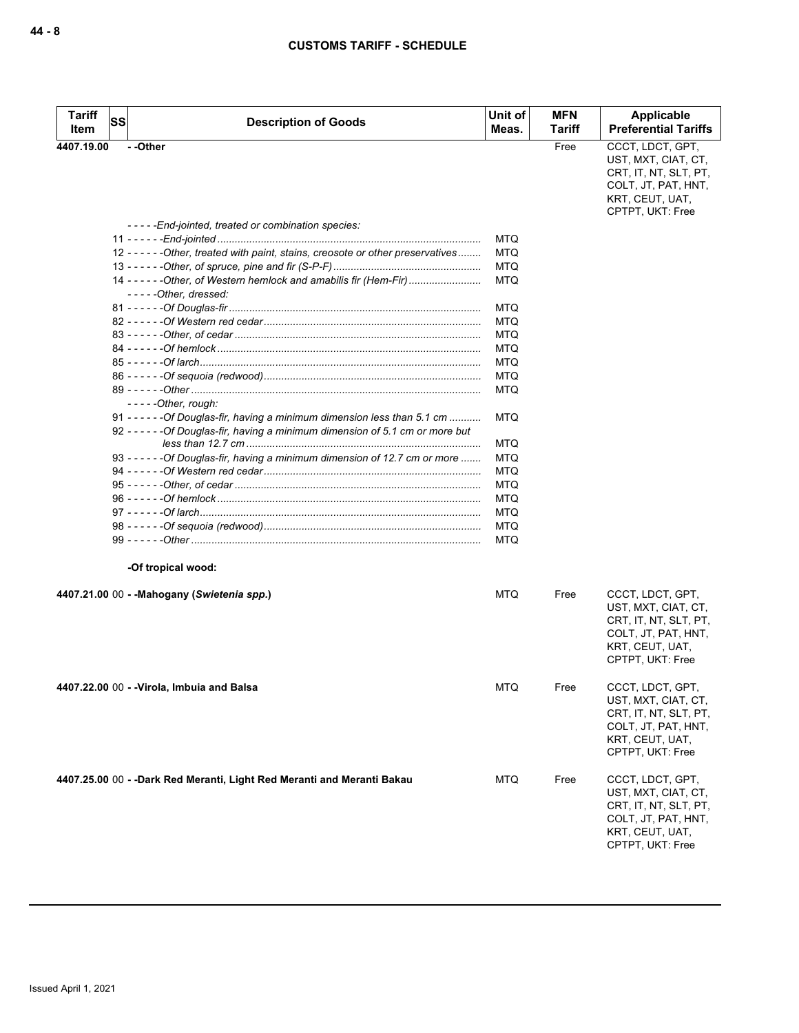| <b>Tariff</b> | <b>SS</b> | <b>Description of Goods</b>                                                                                                                                   | Unit of | <b>MFN</b> | Applicable<br><b>Preferential Tariffs</b>                                                                                      |
|---------------|-----------|---------------------------------------------------------------------------------------------------------------------------------------------------------------|---------|------------|--------------------------------------------------------------------------------------------------------------------------------|
| Item          |           |                                                                                                                                                               | Meas.   | Tariff     |                                                                                                                                |
| 4407.19.00    |           | - -Other                                                                                                                                                      |         | Free       | CCCT, LDCT, GPT,<br>UST, MXT, CIAT, CT,<br>CRT, IT, NT, SLT, PT,<br>COLT, JT, PAT, HNT,<br>KRT, CEUT, UAT,<br>CPTPT, UKT: Free |
|               |           | -----End-jointed, treated or combination species:                                                                                                             |         |            |                                                                                                                                |
|               |           |                                                                                                                                                               | MTQ     |            |                                                                                                                                |
|               |           | 12 ----- - - Other, treated with paint, stains, creosote or other preservatives                                                                               | MTQ     |            |                                                                                                                                |
|               |           |                                                                                                                                                               | MTQ     |            |                                                                                                                                |
|               |           | 14 ----- - Other, of Western hemlock and amabilis fir (Hem-Fir)<br>-----Other, dressed:                                                                       | MTQ     |            |                                                                                                                                |
|               |           |                                                                                                                                                               | MTQ     |            |                                                                                                                                |
|               |           |                                                                                                                                                               | MTQ     |            |                                                                                                                                |
|               |           |                                                                                                                                                               | MTQ     |            |                                                                                                                                |
|               |           |                                                                                                                                                               | MTQ     |            |                                                                                                                                |
|               |           |                                                                                                                                                               | MTQ     |            |                                                                                                                                |
|               |           |                                                                                                                                                               | MTQ     |            |                                                                                                                                |
|               |           | $---Other, rough:$                                                                                                                                            | MTQ     |            |                                                                                                                                |
|               |           | 91 - - - - - - Of Douglas-fir, having a minimum dimension less than 5.1 cm<br>92 - - - - - - Of Douglas-fir, having a minimum dimension of 5.1 cm or more but | MTQ     |            |                                                                                                                                |
|               |           |                                                                                                                                                               | MTQ     |            |                                                                                                                                |
|               |           | 93 - - - - - - Of Douglas-fir, having a minimum dimension of 12.7 cm or more                                                                                  | MTQ     |            |                                                                                                                                |
|               |           |                                                                                                                                                               | MTQ     |            |                                                                                                                                |
|               |           |                                                                                                                                                               | MTQ     |            |                                                                                                                                |
|               |           |                                                                                                                                                               | MTQ     |            |                                                                                                                                |
|               |           |                                                                                                                                                               | MTQ     |            |                                                                                                                                |
|               |           |                                                                                                                                                               | MTQ     |            |                                                                                                                                |
|               |           |                                                                                                                                                               | MTQ     |            |                                                                                                                                |
|               |           | -Of tropical wood:                                                                                                                                            |         |            |                                                                                                                                |
|               |           | 4407.21.00 00 - -Mahogany (Swietenia spp.)                                                                                                                    | MTQ     | Free       | CCCT, LDCT, GPT,<br>UST, MXT, CIAT, CT,<br>CRT, IT, NT, SLT, PT,<br>COLT, JT, PAT, HNT,<br>KRT, CEUT, UAT,<br>CPTPT, UKT: Free |
|               |           | 4407.22.00 00 - -Virola, Imbuia and Balsa                                                                                                                     | MTQ     | Free       | CCCT, LDCT, GPT,<br>UST, MXT, CIAT, CT,<br>CRT, IT, NT, SLT, PT,<br>COLT, JT, PAT, HNT,<br>KRT, CEUT, UAT,<br>CPTPT, UKT: Free |
|               |           | 4407.25.00 00 - -Dark Red Meranti, Light Red Meranti and Meranti Bakau                                                                                        | MTQ     | Free       | CCCT, LDCT, GPT,<br>UST, MXT, CIAT, CT,<br>CRT, IT, NT, SLT, PT,<br>COLT, JT, PAT, HNT,<br>KRT, CEUT, UAT,<br>CPTPT, UKT: Free |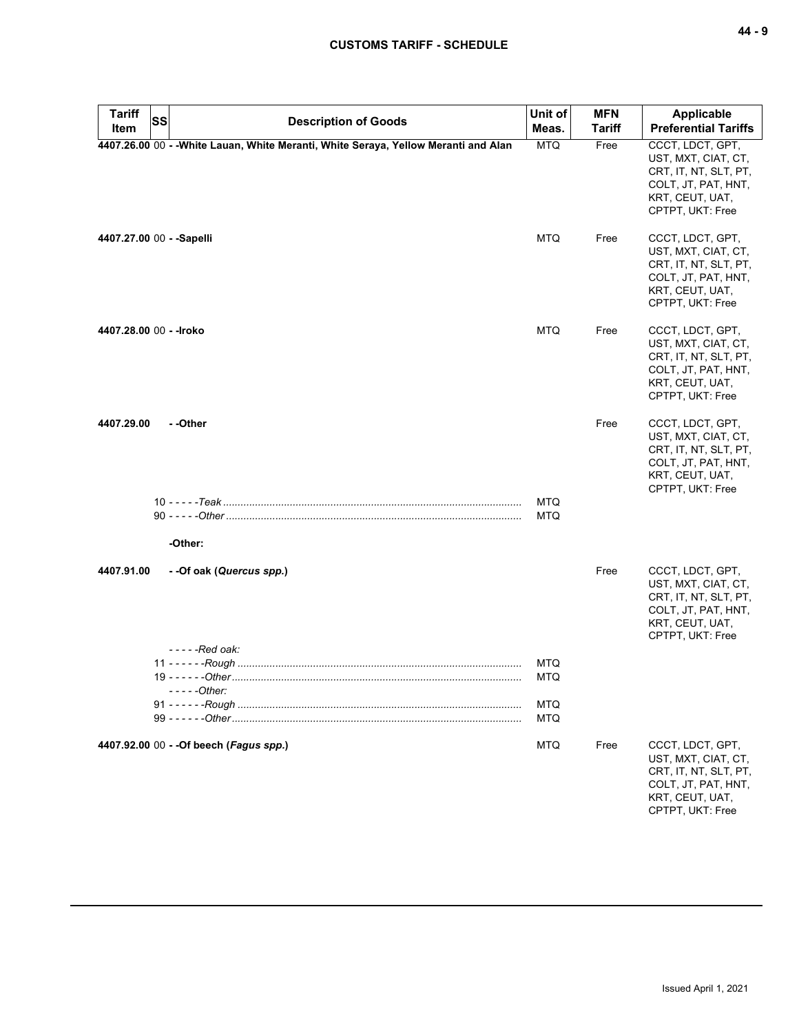| <b>Tariff</b><br>Item     | <b>SS</b> | <b>Description of Goods</b>                                                         | Unit of<br>Meas.         | <b>MFN</b><br><b>Tariff</b> | <b>Applicable</b><br><b>Preferential Tariffs</b>                                                                               |
|---------------------------|-----------|-------------------------------------------------------------------------------------|--------------------------|-----------------------------|--------------------------------------------------------------------------------------------------------------------------------|
|                           |           | 4407.26.00 00 - - White Lauan, White Meranti, White Seraya, Yellow Meranti and Alan | <b>MTQ</b>               | Free                        | CCCT, LDCT, GPT,<br>UST, MXT, CIAT, CT,<br>CRT, IT, NT, SLT, PT,<br>COLT, JT, PAT, HNT,<br>KRT, CEUT, UAT,<br>CPTPT, UKT: Free |
| 4407.27.00 00 - - Sapelli |           |                                                                                     | <b>MTQ</b>               | Free                        | CCCT, LDCT, GPT,<br>UST, MXT, CIAT, CT,<br>CRT, IT, NT, SLT, PT,<br>COLT, JT, PAT, HNT,<br>KRT, CEUT, UAT,<br>CPTPT, UKT: Free |
| 4407.28.00 00 - - Iroko   |           |                                                                                     | <b>MTQ</b>               | Free                        | CCCT, LDCT, GPT,<br>UST, MXT, CIAT, CT,<br>CRT, IT, NT, SLT, PT,<br>COLT, JT, PAT, HNT,<br>KRT, CEUT, UAT,<br>CPTPT, UKT: Free |
| 4407.29.00                |           | - -Other                                                                            |                          | Free                        | CCCT, LDCT, GPT,<br>UST, MXT, CIAT, CT,<br>CRT, IT, NT, SLT, PT,<br>COLT, JT, PAT, HNT,<br>KRT, CEUT, UAT,<br>CPTPT, UKT: Free |
|                           |           | -Other:                                                                             | <b>MTQ</b><br><b>MTQ</b> |                             |                                                                                                                                |
| 4407.91.00                |           | - -Of oak (Quercus spp.)<br>- - - - - Red oak:                                      |                          | Free                        | CCCT, LDCT, GPT,<br>UST, MXT, CIAT, CT,<br>CRT, IT, NT, SLT, PT,<br>COLT, JT, PAT, HNT,<br>KRT, CEUT, UAT,<br>CPTPT, UKT: Free |
|                           |           | - - - - - Other:                                                                    | MTQ<br><b>MTQ</b>        |                             |                                                                                                                                |
|                           |           |                                                                                     | <b>MTQ</b><br><b>MTQ</b> |                             |                                                                                                                                |
|                           |           | 4407.92.00 00 - - Of beech (Fagus spp.)                                             | <b>MTQ</b>               | Free                        | CCCT, LDCT, GPT,<br>UST, MXT, CIAT, CT,<br>CRT, IT, NT, SLT, PT,<br>COLT, JT, PAT, HNT,<br>KRT, CEUT, UAT,<br>CPTPT, UKT: Free |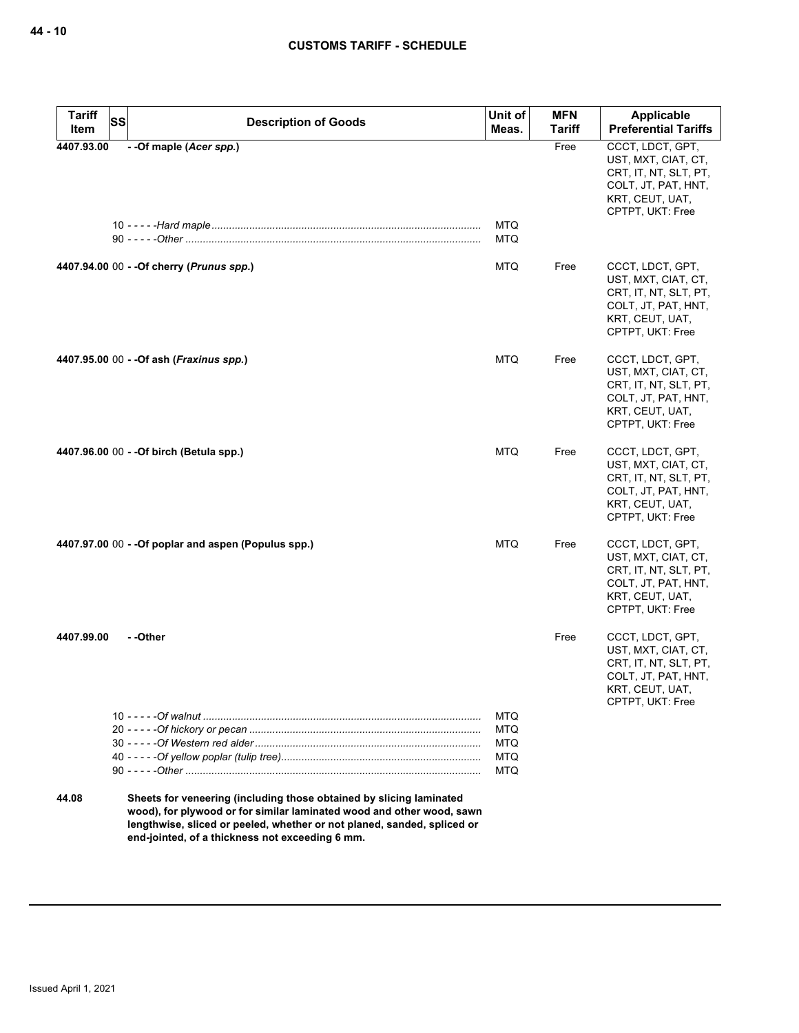| <b>Tariff</b> | <b>SS</b> | <b>Description of Goods</b>                                                                                                                                                                                                                                                | Unit of                  | <b>MFN</b>    | <b>Applicable</b>                                                                                                              |
|---------------|-----------|----------------------------------------------------------------------------------------------------------------------------------------------------------------------------------------------------------------------------------------------------------------------------|--------------------------|---------------|--------------------------------------------------------------------------------------------------------------------------------|
| Item          |           |                                                                                                                                                                                                                                                                            | Meas.                    | <b>Tariff</b> | <b>Preferential Tariffs</b>                                                                                                    |
| 4407.93.00    |           | - - Of maple (Acer spp.)                                                                                                                                                                                                                                                   | <b>MTQ</b><br><b>MTQ</b> | Free          | CCCT, LDCT, GPT,<br>UST, MXT, CIAT, CT,<br>CRT, IT, NT, SLT, PT,<br>COLT, JT, PAT, HNT,<br>KRT, CEUT, UAT,<br>CPTPT, UKT: Free |
|               |           | 4407.94.00 00 - - Of cherry ( <i>Prunus spp.</i> )                                                                                                                                                                                                                         | <b>MTQ</b>               | Free          | CCCT, LDCT, GPT,<br>UST, MXT, CIAT, CT,<br>CRT, IT, NT, SLT, PT,<br>COLT, JT, PAT, HNT,<br>KRT, CEUT, UAT,<br>CPTPT, UKT: Free |
|               |           | 4407.95.00 00 - - Of ash ( <i>Fraxinus spp.</i> )                                                                                                                                                                                                                          | <b>MTQ</b>               | Free          | CCCT, LDCT, GPT,<br>UST, MXT, CIAT, CT,<br>CRT, IT, NT, SLT, PT,<br>COLT, JT, PAT, HNT,<br>KRT, CEUT, UAT,<br>CPTPT, UKT: Free |
|               |           | 4407.96.00 00 - - Of birch (Betula spp.)                                                                                                                                                                                                                                   | <b>MTQ</b>               | Free          | CCCT, LDCT, GPT,<br>UST, MXT, CIAT, CT,<br>CRT, IT, NT, SLT, PT,<br>COLT, JT, PAT, HNT,<br>KRT, CEUT, UAT,<br>CPTPT, UKT: Free |
|               |           | $4407.97.00\ 00 - Of popular and aspen (Populus spp.)$                                                                                                                                                                                                                     | <b>MTQ</b>               | Free          | CCCT, LDCT, GPT,<br>UST, MXT, CIAT, CT,<br>CRT, IT, NT, SLT, PT,<br>COLT, JT, PAT, HNT,<br>KRT, CEUT, UAT,<br>CPTPT, UKT: Free |
| 4407.99.00    |           | - -Other                                                                                                                                                                                                                                                                   |                          | Free          | CCCT, LDCT, GPT,<br>UST, MXT, CIAT, CT,<br>CRT, IT, NT, SLT, PT,<br>COLT, JT, PAT, HNT,<br>KRT, CEUT, UAT,<br>CPTPT, UKT: Free |
|               |           |                                                                                                                                                                                                                                                                            | <b>MTQ</b>               |               |                                                                                                                                |
|               |           |                                                                                                                                                                                                                                                                            | <b>MTQ</b>               |               |                                                                                                                                |
|               |           |                                                                                                                                                                                                                                                                            | <b>MTQ</b><br>MTQ        |               |                                                                                                                                |
|               |           |                                                                                                                                                                                                                                                                            | MTQ                      |               |                                                                                                                                |
| 44.08         |           | Sheets for veneering (including those obtained by slicing laminated<br>wood), for plywood or for similar laminated wood and other wood, sawn<br>lengthwise, sliced or peeled, whether or not planed, sanded, spliced or<br>end-jointed, of a thickness not exceeding 6 mm. |                          |               |                                                                                                                                |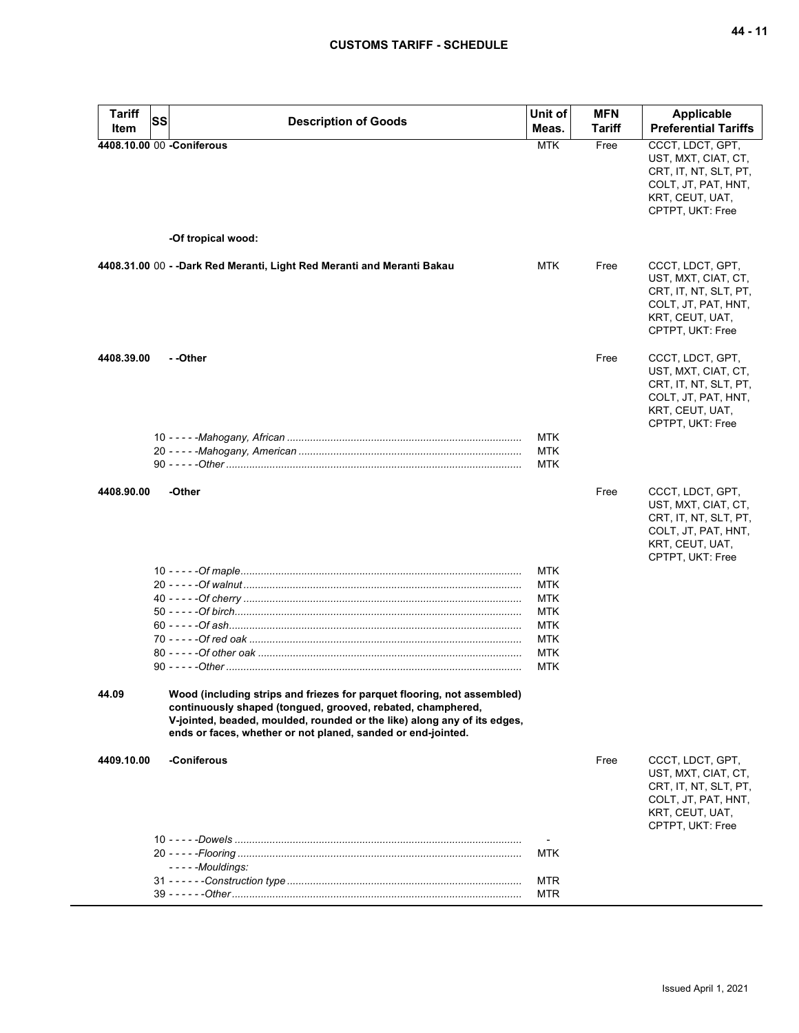| <b>Tariff</b> | SS | <b>Description of Goods</b>                                                                                                                                                                                                                                                        | Unit of    | <b>MFN</b> | Applicable                                                                                                                     |
|---------------|----|------------------------------------------------------------------------------------------------------------------------------------------------------------------------------------------------------------------------------------------------------------------------------------|------------|------------|--------------------------------------------------------------------------------------------------------------------------------|
| Item          |    |                                                                                                                                                                                                                                                                                    | Meas.      | Tariff     | <b>Preferential Tariffs</b>                                                                                                    |
|               |    | 4408.10.00 00 -Coniferous                                                                                                                                                                                                                                                          | <b>MTK</b> | Free       | CCCT, LDCT, GPT,<br>UST, MXT, CIAT, CT,<br>CRT, IT, NT, SLT, PT,<br>COLT, JT, PAT, HNT,<br>KRT, CEUT, UAT,<br>CPTPT, UKT: Free |
|               |    | -Of tropical wood:                                                                                                                                                                                                                                                                 |            |            |                                                                                                                                |
|               |    | 4408.31.00 00 - - Dark Red Meranti, Light Red Meranti and Meranti Bakau                                                                                                                                                                                                            | <b>MTK</b> | Free       | CCCT, LDCT, GPT,<br>UST, MXT, CIAT, CT,<br>CRT, IT, NT, SLT, PT,<br>COLT, JT, PAT, HNT,<br>KRT, CEUT, UAT,<br>CPTPT, UKT: Free |
| 4408.39.00    |    | - -Other                                                                                                                                                                                                                                                                           |            | Free       | CCCT, LDCT, GPT,<br>UST, MXT, CIAT, CT,<br>CRT, IT, NT, SLT, PT,<br>COLT, JT, PAT, HNT,<br>KRT, CEUT, UAT,<br>CPTPT, UKT: Free |
|               |    |                                                                                                                                                                                                                                                                                    | <b>MTK</b> |            |                                                                                                                                |
|               |    |                                                                                                                                                                                                                                                                                    | <b>MTK</b> |            |                                                                                                                                |
|               |    |                                                                                                                                                                                                                                                                                    | MTK        |            |                                                                                                                                |
| 4408.90.00    |    | -Other                                                                                                                                                                                                                                                                             | <b>MTK</b> | Free       | CCCT, LDCT, GPT,<br>UST, MXT, CIAT, CT,<br>CRT, IT, NT, SLT, PT,<br>COLT, JT, PAT, HNT,<br>KRT, CEUT, UAT,<br>CPTPT, UKT: Free |
|               |    |                                                                                                                                                                                                                                                                                    | <b>MTK</b> |            |                                                                                                                                |
|               |    |                                                                                                                                                                                                                                                                                    | MTK        |            |                                                                                                                                |
|               |    |                                                                                                                                                                                                                                                                                    | <b>MTK</b> |            |                                                                                                                                |
|               |    |                                                                                                                                                                                                                                                                                    | <b>MTK</b> |            |                                                                                                                                |
|               |    |                                                                                                                                                                                                                                                                                    | <b>MTK</b> |            |                                                                                                                                |
|               |    |                                                                                                                                                                                                                                                                                    | MTK        |            |                                                                                                                                |
|               |    |                                                                                                                                                                                                                                                                                    | MTK        |            |                                                                                                                                |
| 44.09         |    | Wood (including strips and friezes for parquet flooring, not assembled)<br>continuously shaped (tongued, grooved, rebated, champhered,<br>V-jointed, beaded, moulded, rounded or the like) along any of its edges,<br>ends or faces, whether or not planed, sanded or end-jointed. |            |            |                                                                                                                                |
| 4409.10.00    |    | -Coniferous                                                                                                                                                                                                                                                                        |            | Free       | CCCT, LDCT, GPT,                                                                                                               |
|               |    |                                                                                                                                                                                                                                                                                    |            |            | UST, MXT, CIAT, CT,<br>CRT, IT, NT, SLT, PT,<br>COLT, JT, PAT, HNT,<br>KRT, CEUT, UAT,<br>CPTPT, UKT: Free                     |
|               |    |                                                                                                                                                                                                                                                                                    | MTK        |            |                                                                                                                                |
|               |    | $--$ - - - Mouldings:                                                                                                                                                                                                                                                              |            |            |                                                                                                                                |
|               |    |                                                                                                                                                                                                                                                                                    | MTR        |            |                                                                                                                                |
|               |    |                                                                                                                                                                                                                                                                                    | <b>MTR</b> |            |                                                                                                                                |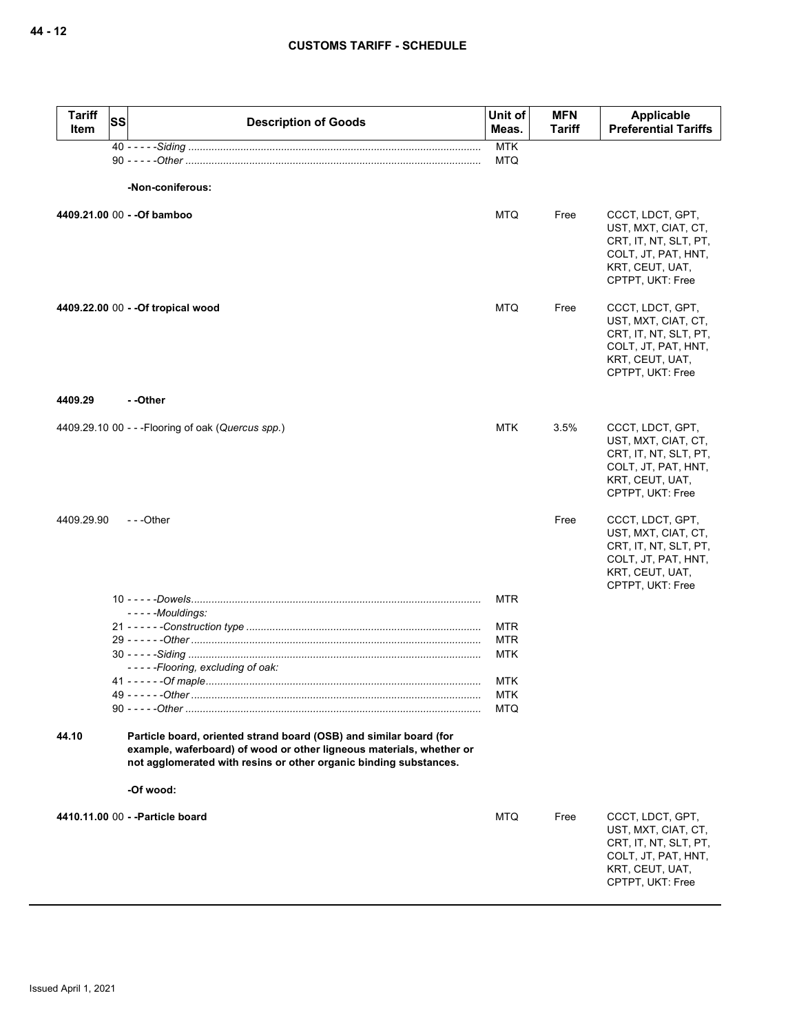| <b>Tariff</b><br>Item | SS | <b>Description of Goods</b>                                                                                                                                                                                     | Unit of<br>Meas. | <b>MFN</b><br><b>Tariff</b> | Applicable<br><b>Preferential Tariffs</b>                                                                                      |
|-----------------------|----|-----------------------------------------------------------------------------------------------------------------------------------------------------------------------------------------------------------------|------------------|-----------------------------|--------------------------------------------------------------------------------------------------------------------------------|
|                       |    |                                                                                                                                                                                                                 | <b>MTK</b>       |                             |                                                                                                                                |
|                       |    |                                                                                                                                                                                                                 | <b>MTQ</b>       |                             |                                                                                                                                |
|                       |    | -Non-coniferous:                                                                                                                                                                                                |                  |                             |                                                                                                                                |
|                       |    | 4409.21.00 00 - - Of bamboo                                                                                                                                                                                     | <b>MTQ</b>       | Free                        | CCCT, LDCT, GPT,<br>UST, MXT, CIAT, CT,<br>CRT, IT, NT, SLT, PT,<br>COLT, JT, PAT, HNT,<br>KRT, CEUT, UAT,<br>CPTPT, UKT: Free |
|                       |    | 4409.22.00 00 - - Of tropical wood                                                                                                                                                                              | <b>MTQ</b>       | Free                        | CCCT, LDCT, GPT,<br>UST, MXT, CIAT, CT,<br>CRT, IT, NT, SLT, PT,<br>COLT, JT, PAT, HNT,<br>KRT, CEUT, UAT,<br>CPTPT, UKT: Free |
| 4409.29               |    | - -Other                                                                                                                                                                                                        |                  |                             |                                                                                                                                |
|                       |    | 4409.29.10 00 - - - Flooring of oak (Quercus spp.)                                                                                                                                                              | <b>MTK</b>       | 3.5%                        | CCCT, LDCT, GPT,<br>UST, MXT, CIAT, CT,<br>CRT, IT, NT, SLT, PT,<br>COLT, JT, PAT, HNT,<br>KRT, CEUT, UAT,<br>CPTPT, UKT: Free |
| 4409.29.90            |    | $- -$ Other                                                                                                                                                                                                     |                  | Free                        | CCCT, LDCT, GPT,<br>UST, MXT, CIAT, CT,<br>CRT, IT, NT, SLT, PT,<br>COLT, JT, PAT, HNT,<br>KRT, CEUT, UAT,<br>CPTPT, UKT: Free |
|                       |    |                                                                                                                                                                                                                 | MTR              |                             |                                                                                                                                |
|                       |    | - - - - - Mouldings:                                                                                                                                                                                            | MTR              |                             |                                                                                                                                |
|                       |    |                                                                                                                                                                                                                 | <b>MTR</b>       |                             |                                                                                                                                |
|                       |    |                                                                                                                                                                                                                 | MTK              |                             |                                                                                                                                |
|                       |    | -----Flooring, excluding of oak:                                                                                                                                                                                |                  |                             |                                                                                                                                |
|                       |    |                                                                                                                                                                                                                 | MTK<br>MTK       |                             |                                                                                                                                |
|                       |    |                                                                                                                                                                                                                 | <b>MTQ</b>       |                             |                                                                                                                                |
| 44.10                 |    | Particle board, oriented strand board (OSB) and similar board (for<br>example, waferboard) of wood or other ligneous materials, whether or<br>not agglomerated with resins or other organic binding substances. |                  |                             |                                                                                                                                |
|                       |    | -Of wood:                                                                                                                                                                                                       |                  |                             |                                                                                                                                |
|                       |    | 4410.11.00 00 - - Particle board                                                                                                                                                                                | <b>MTQ</b>       | Free                        | CCCT, LDCT, GPT,<br>UST, MXT, CIAT, CT,<br>CRT, IT, NT, SLT, PT,<br>COLT, JT, PAT, HNT,<br>KRT, CEUT, UAT,<br>CPTPT, UKT: Free |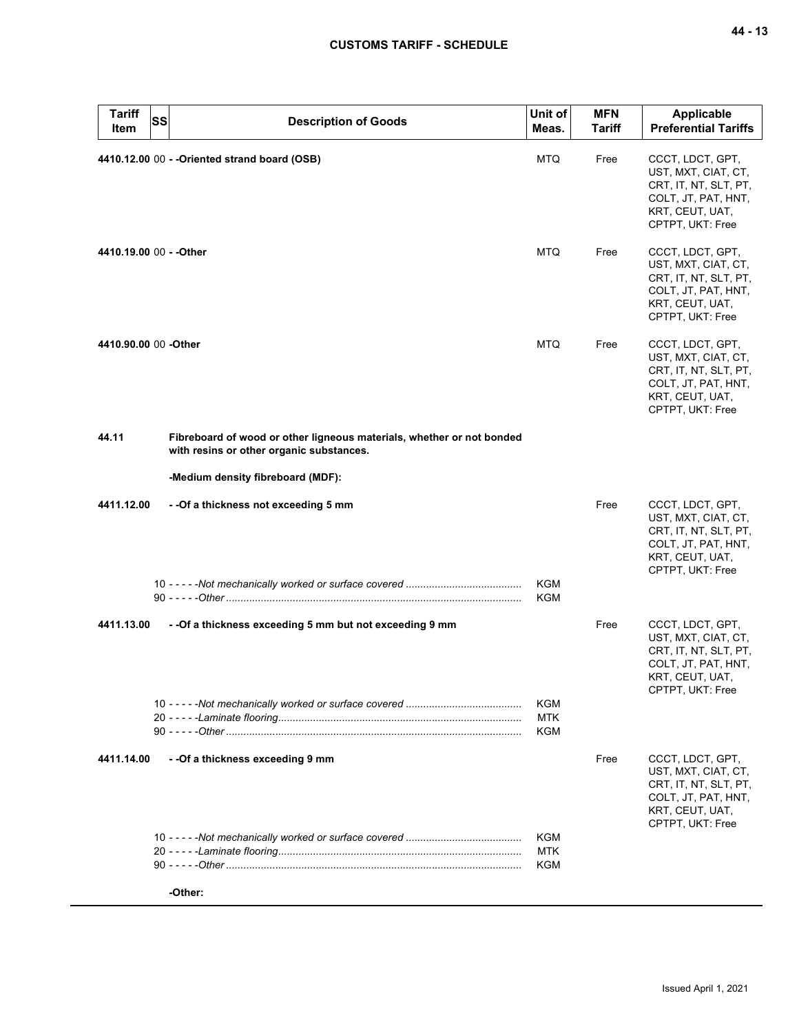| <b>Tariff</b><br>Item   | SS | <b>Description of Goods</b>                                                                                       | Unit of<br>Meas.                | <b>MFN</b><br><b>Tariff</b> | <b>Applicable</b><br><b>Preferential Tariffs</b>                                                                               |
|-------------------------|----|-------------------------------------------------------------------------------------------------------------------|---------------------------------|-----------------------------|--------------------------------------------------------------------------------------------------------------------------------|
|                         |    | 4410.12.00 00 - - Oriented strand board (OSB)                                                                     | <b>MTQ</b>                      | Free                        | CCCT, LDCT, GPT,<br>UST, MXT, CIAT, CT,<br>CRT, IT, NT, SLT, PT,<br>COLT, JT, PAT, HNT,<br>KRT, CEUT, UAT,<br>CPTPT, UKT: Free |
| 4410.19.00 00 - - Other |    |                                                                                                                   | MTQ                             | Free                        | CCCT, LDCT, GPT,<br>UST, MXT, CIAT, CT,<br>CRT, IT, NT, SLT, PT,<br>COLT, JT, PAT, HNT,<br>KRT, CEUT, UAT,<br>CPTPT, UKT: Free |
| 4410.90.00 00 - Other   |    |                                                                                                                   | MTQ                             | Free                        | CCCT, LDCT, GPT,<br>UST, MXT, CIAT, CT,<br>CRT, IT, NT, SLT, PT,<br>COLT, JT, PAT, HNT,<br>KRT, CEUT, UAT,<br>CPTPT, UKT: Free |
| 44.11                   |    | Fibreboard of wood or other ligneous materials, whether or not bonded<br>with resins or other organic substances. |                                 |                             |                                                                                                                                |
|                         |    | -Medium density fibreboard (MDF):                                                                                 |                                 |                             |                                                                                                                                |
| 4411.12.00              |    | --Of a thickness not exceeding 5 mm                                                                               |                                 | Free                        | CCCT, LDCT, GPT,<br>UST, MXT, CIAT, CT,<br>CRT, IT, NT, SLT, PT,<br>COLT, JT, PAT, HNT,<br>KRT, CEUT, UAT,<br>CPTPT, UKT: Free |
|                         |    |                                                                                                                   | KGM<br><b>KGM</b>               |                             |                                                                                                                                |
| 4411.13.00              |    | - - Of a thickness exceeding 5 mm but not exceeding 9 mm                                                          |                                 | Free                        | CCCT, LDCT, GPT,<br>UST, MXT, CIAT, CT,<br>CRT, IT, NT, SLT, PT,<br>COLT, JT, PAT, HNT,<br>KRT, CEUT, UAT,<br>CPTPT, UKT: Free |
|                         |    |                                                                                                                   | KGM<br><b>MTK</b><br><b>KGM</b> |                             |                                                                                                                                |
| 4411.14.00              |    | - - Of a thickness exceeding 9 mm                                                                                 |                                 | Free                        | CCCT, LDCT, GPT,<br>UST, MXT, CIAT, CT,<br>CRT, IT, NT, SLT, PT,<br>COLT, JT, PAT, HNT,<br>KRT, CEUT, UAT,<br>CPTPT, UKT: Free |
|                         |    |                                                                                                                   | KGM<br>MTK<br>KGM               |                             |                                                                                                                                |
|                         |    | -Other:                                                                                                           |                                 |                             |                                                                                                                                |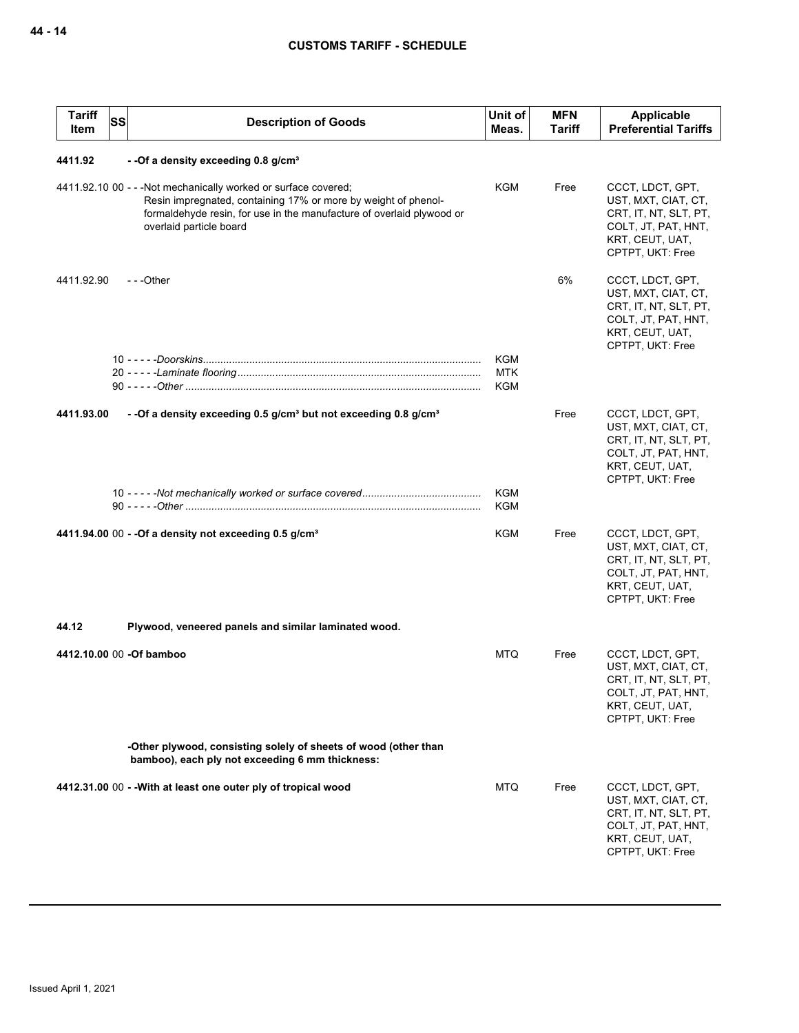| <b>Tariff</b><br>Item | <b>SS</b> | <b>Description of Goods</b>                                                                                                                                                                                                           | Unit of<br>Meas.         | <b>MFN</b><br>Tariff | Applicable<br><b>Preferential Tariffs</b>                                                                                      |
|-----------------------|-----------|---------------------------------------------------------------------------------------------------------------------------------------------------------------------------------------------------------------------------------------|--------------------------|----------------------|--------------------------------------------------------------------------------------------------------------------------------|
| 4411.92               |           | - - Of a density exceeding 0.8 g/cm <sup>3</sup>                                                                                                                                                                                      |                          |                      |                                                                                                                                |
|                       |           | 4411.92.10 00 - - - Not mechanically worked or surface covered;<br>Resin impregnated, containing 17% or more by weight of phenol-<br>formaldehyde resin, for use in the manufacture of overlaid plywood or<br>overlaid particle board | <b>KGM</b>               | Free                 | CCCT, LDCT, GPT,<br>UST, MXT, CIAT, CT,<br>CRT, IT, NT, SLT, PT,<br>COLT, JT, PAT, HNT,<br>KRT, CEUT, UAT,<br>CPTPT, UKT: Free |
| 4411.92.90            |           | $- -$ Other                                                                                                                                                                                                                           |                          | 6%                   | CCCT, LDCT, GPT,<br>UST, MXT, CIAT, CT,<br>CRT, IT, NT, SLT, PT,<br>COLT, JT, PAT, HNT,<br>KRT, CEUT, UAT,<br>CPTPT, UKT: Free |
|                       |           |                                                                                                                                                                                                                                       | <b>KGM</b>               |                      |                                                                                                                                |
|                       |           |                                                                                                                                                                                                                                       | <b>MTK</b><br>KGM        |                      |                                                                                                                                |
|                       |           |                                                                                                                                                                                                                                       |                          |                      |                                                                                                                                |
| 4411.93.00            |           | - -Of a density exceeding 0.5 g/cm <sup>3</sup> but not exceeding 0.8 g/cm <sup>3</sup>                                                                                                                                               |                          | Free                 | CCCT, LDCT, GPT,<br>UST, MXT, CIAT, CT,<br>CRT, IT, NT, SLT, PT,<br>COLT, JT, PAT, HNT,<br>KRT, CEUT, UAT,<br>CPTPT, UKT: Free |
|                       |           |                                                                                                                                                                                                                                       | <b>KGM</b><br><b>KGM</b> |                      |                                                                                                                                |
|                       |           | 4411.94.00 00 - - Of a density not exceeding 0.5 g/cm <sup>3</sup>                                                                                                                                                                    | <b>KGM</b>               | Free                 | CCCT, LDCT, GPT,<br>UST, MXT, CIAT, CT,<br>CRT, IT, NT, SLT, PT,<br>COLT, JT, PAT, HNT,<br>KRT, CEUT, UAT,<br>CPTPT, UKT: Free |
| 44.12                 |           | Plywood, veneered panels and similar laminated wood.                                                                                                                                                                                  |                          |                      |                                                                                                                                |
|                       |           |                                                                                                                                                                                                                                       |                          |                      |                                                                                                                                |
|                       |           | 4412.10.00 00 -Of bamboo                                                                                                                                                                                                              | <b>MTQ</b>               | Free                 | CCCT, LDCT, GPT,<br>UST, MXT, CIAT, CT,<br>CRT, IT, NT, SLT, PT,<br>COLT, JT, PAT, HNT,<br>KRT, CEUT, UAT,<br>CPTPT, UKT: Free |
|                       |           | -Other plywood, consisting solely of sheets of wood (other than<br>bamboo), each ply not exceeding 6 mm thickness:                                                                                                                    |                          |                      |                                                                                                                                |
|                       |           | 4412.31.00 00 - - With at least one outer ply of tropical wood                                                                                                                                                                        | MTQ                      | Free                 | CCCT, LDCT, GPT,<br>UST, MXT, CIAT, CT,<br>CRT, IT, NT, SLT, PT,<br>COLT, JT, PAT, HNT,<br>KRT, CEUT, UAT,<br>CPTPT, UKT: Free |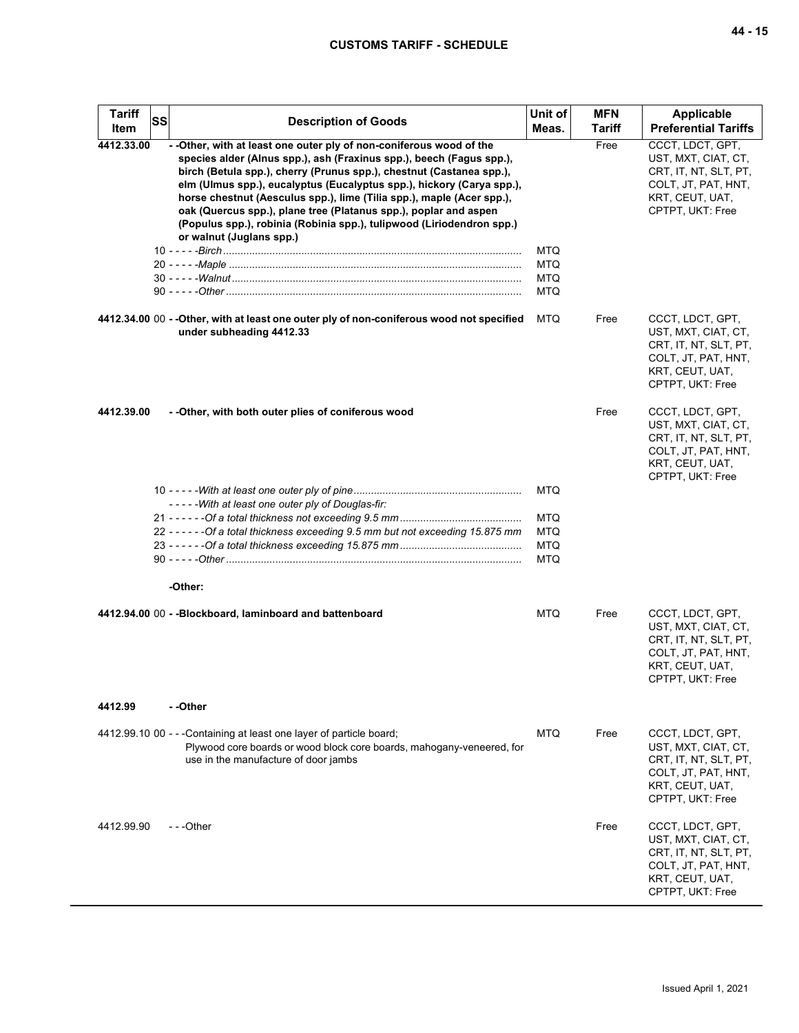| <b>Tariff</b><br>Item | <b>SS</b> | <b>Description of Goods</b>                                                                                                                                                                                                                                                                                                                                                                                                                                                                                                                     | Unit of<br>Meas.                                     | <b>MFN</b><br><b>Tariff</b> | Applicable<br><b>Preferential Tariffs</b>                                                                                      |
|-----------------------|-----------|-------------------------------------------------------------------------------------------------------------------------------------------------------------------------------------------------------------------------------------------------------------------------------------------------------------------------------------------------------------------------------------------------------------------------------------------------------------------------------------------------------------------------------------------------|------------------------------------------------------|-----------------------------|--------------------------------------------------------------------------------------------------------------------------------|
| 4412.33.00            |           | - - Other, with at least one outer ply of non-coniferous wood of the<br>species alder (Alnus spp.), ash (Fraxinus spp.), beech (Fagus spp.),<br>birch (Betula spp.), cherry (Prunus spp.), chestnut (Castanea spp.),<br>elm (Ulmus spp.), eucalyptus (Eucalyptus spp.), hickory (Carya spp.),<br>horse chestnut (Aesculus spp.), lime (Tilia spp.), maple (Acer spp.),<br>oak (Quercus spp.), plane tree (Platanus spp.), poplar and aspen<br>(Populus spp.), robinia (Robinia spp.), tulipwood (Liriodendron spp.)<br>or walnut (Juglans spp.) |                                                      | Free                        | CCCT, LDCT, GPT,<br>UST, MXT, CIAT, CT,<br>CRT, IT, NT, SLT, PT,<br>COLT, JT, PAT, HNT,<br>KRT, CEUT, UAT,<br>CPTPT, UKT: Free |
|                       |           |                                                                                                                                                                                                                                                                                                                                                                                                                                                                                                                                                 | <b>MTQ</b>                                           |                             |                                                                                                                                |
|                       |           |                                                                                                                                                                                                                                                                                                                                                                                                                                                                                                                                                 | <b>MTQ</b>                                           |                             |                                                                                                                                |
|                       |           |                                                                                                                                                                                                                                                                                                                                                                                                                                                                                                                                                 | <b>MTQ</b>                                           |                             |                                                                                                                                |
|                       |           |                                                                                                                                                                                                                                                                                                                                                                                                                                                                                                                                                 | MTQ                                                  |                             |                                                                                                                                |
|                       |           | 4412.34.00 00 - - Other, with at least one outer ply of non-coniferous wood not specified<br>under subheading 4412.33                                                                                                                                                                                                                                                                                                                                                                                                                           | <b>MTQ</b>                                           | Free                        | CCCT, LDCT, GPT,<br>UST, MXT, CIAT, CT,<br>CRT, IT, NT, SLT, PT,<br>COLT, JT, PAT, HNT,<br>KRT, CEUT, UAT,<br>CPTPT, UKT: Free |
| 4412.39.00            |           | - - Other, with both outer plies of coniferous wood                                                                                                                                                                                                                                                                                                                                                                                                                                                                                             |                                                      | Free                        | CCCT, LDCT, GPT,<br>UST, MXT, CIAT, CT,<br>CRT, IT, NT, SLT, PT,<br>COLT, JT, PAT, HNT,<br>KRT, CEUT, UAT,<br>CPTPT, UKT: Free |
|                       |           | -----With at least one outer ply of Douglas-fir:                                                                                                                                                                                                                                                                                                                                                                                                                                                                                                | <b>MTQ</b>                                           |                             |                                                                                                                                |
|                       |           | 22 - - - - - - Of a total thickness exceeding 9.5 mm but not exceeding 15.875 mm                                                                                                                                                                                                                                                                                                                                                                                                                                                                | <b>MTQ</b><br><b>MTQ</b><br><b>MTQ</b><br><b>MTQ</b> |                             |                                                                                                                                |
|                       |           | -Other:                                                                                                                                                                                                                                                                                                                                                                                                                                                                                                                                         |                                                      |                             |                                                                                                                                |
|                       |           | 4412.94.00 00 - - Blockboard, laminboard and battenboard                                                                                                                                                                                                                                                                                                                                                                                                                                                                                        | <b>MTQ</b>                                           | Free                        | CCCT, LDCT, GPT,<br>UST, MXT, CIAT, CT,<br>CRT, IT, NT, SLT, PT,<br>COLT, JT, PAT, HNT,<br>KRT, CEUT, UAT,<br>CPTPT, UKT: Free |
| 4412.99               |           | - -Other                                                                                                                                                                                                                                                                                                                                                                                                                                                                                                                                        |                                                      |                             |                                                                                                                                |
|                       |           | 4412.99.10 00 - - - Containing at least one layer of particle board;<br>Plywood core boards or wood block core boards, mahogany-veneered, for<br>use in the manufacture of door jambs                                                                                                                                                                                                                                                                                                                                                           | MTQ.                                                 | Free                        | CCCT, LDCT, GPT,<br>UST, MXT, CIAT, CT,<br>CRT, IT, NT, SLT, PT,<br>COLT, JT, PAT, HNT,<br>KRT, CEUT, UAT,<br>CPTPT, UKT: Free |
| 4412.99.90            |           | $- -$ Other                                                                                                                                                                                                                                                                                                                                                                                                                                                                                                                                     |                                                      | Free                        | CCCT, LDCT, GPT,<br>UST, MXT, CIAT, CT,<br>CRT, IT, NT, SLT, PT,<br>COLT, JT, PAT, HNT,<br>KRT, CEUT, UAT,<br>CPTPT, UKT: Free |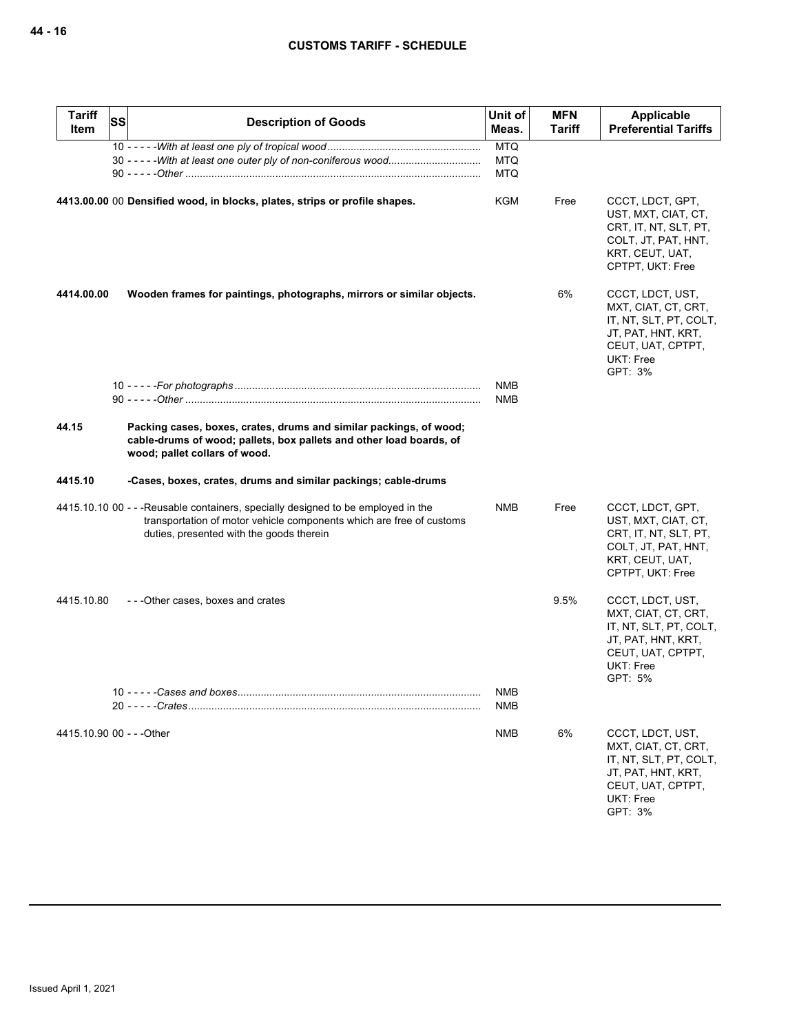| <b>Tariff</b><br>Item     | <b>SS</b> | <b>Description of Goods</b>                                                                                                                                                                           | Unit of<br>Meas. | <b>MFN</b><br><b>Tariff</b> | Applicable<br><b>Preferential Tariffs</b>                                                                                            |
|---------------------------|-----------|-------------------------------------------------------------------------------------------------------------------------------------------------------------------------------------------------------|------------------|-----------------------------|--------------------------------------------------------------------------------------------------------------------------------------|
|                           |           |                                                                                                                                                                                                       | <b>MTQ</b>       |                             |                                                                                                                                      |
|                           |           |                                                                                                                                                                                                       | <b>MTQ</b>       |                             |                                                                                                                                      |
|                           |           |                                                                                                                                                                                                       | <b>MTQ</b>       |                             |                                                                                                                                      |
|                           |           | 4413.00.00 00 Densified wood, in blocks, plates, strips or profile shapes.                                                                                                                            | KGM              | Free                        | CCCT, LDCT, GPT,<br>UST, MXT, CIAT, CT,<br>CRT, IT, NT, SLT, PT,<br>COLT, JT, PAT, HNT,<br>KRT, CEUT, UAT,<br>CPTPT, UKT: Free       |
| 4414.00.00                |           | Wooden frames for paintings, photographs, mirrors or similar objects.                                                                                                                                 |                  | 6%                          | CCCT, LDCT, UST,<br>MXT, CIAT, CT, CRT,<br>IT, NT, SLT, PT, COLT,<br>JT, PAT, HNT, KRT,<br>CEUT, UAT, CPTPT,<br>UKT: Free<br>GPT: 3% |
|                           |           |                                                                                                                                                                                                       | <b>NMB</b>       |                             |                                                                                                                                      |
|                           |           |                                                                                                                                                                                                       | <b>NMB</b>       |                             |                                                                                                                                      |
| 44.15                     |           | Packing cases, boxes, crates, drums and similar packings, of wood;<br>cable-drums of wood; pallets, box pallets and other load boards, of<br>wood; pallet collars of wood.                            |                  |                             |                                                                                                                                      |
| 4415.10                   |           | -Cases, boxes, crates, drums and similar packings; cable-drums                                                                                                                                        |                  |                             |                                                                                                                                      |
|                           |           | 4415.10.10 00 - - - Reusable containers, specially designed to be employed in the<br>transportation of motor vehicle components which are free of customs<br>duties, presented with the goods therein | <b>NMB</b>       | Free                        | CCCT, LDCT, GPT,<br>UST, MXT, CIAT, CT,<br>CRT, IT, NT, SLT, PT,<br>COLT, JT, PAT, HNT,<br>KRT, CEUT, UAT,<br>CPTPT, UKT: Free       |
| 4415.10.80                |           | ---Other cases, boxes and crates                                                                                                                                                                      |                  | 9.5%                        | CCCT, LDCT, UST,<br>MXT, CIAT, CT, CRT,<br>IT, NT, SLT, PT, COLT,<br>JT, PAT, HNT, KRT,<br>CEUT, UAT, CPTPT,<br>UKT: Free<br>GPT: 5% |
|                           |           |                                                                                                                                                                                                       | <b>NMB</b>       |                             |                                                                                                                                      |
|                           |           |                                                                                                                                                                                                       | <b>NMB</b>       |                             |                                                                                                                                      |
| 4415.10.90 00 - - - Other |           |                                                                                                                                                                                                       | <b>NMB</b>       | 6%                          | CCCT, LDCT, UST,<br>MXT, CIAT, CT, CRT,<br>IT, NT, SLT, PT, COLT,<br>JT, PAT, HNT, KRT,<br>CEUT, UAT, CPTPT,<br>UKT: Free<br>GPT: 3% |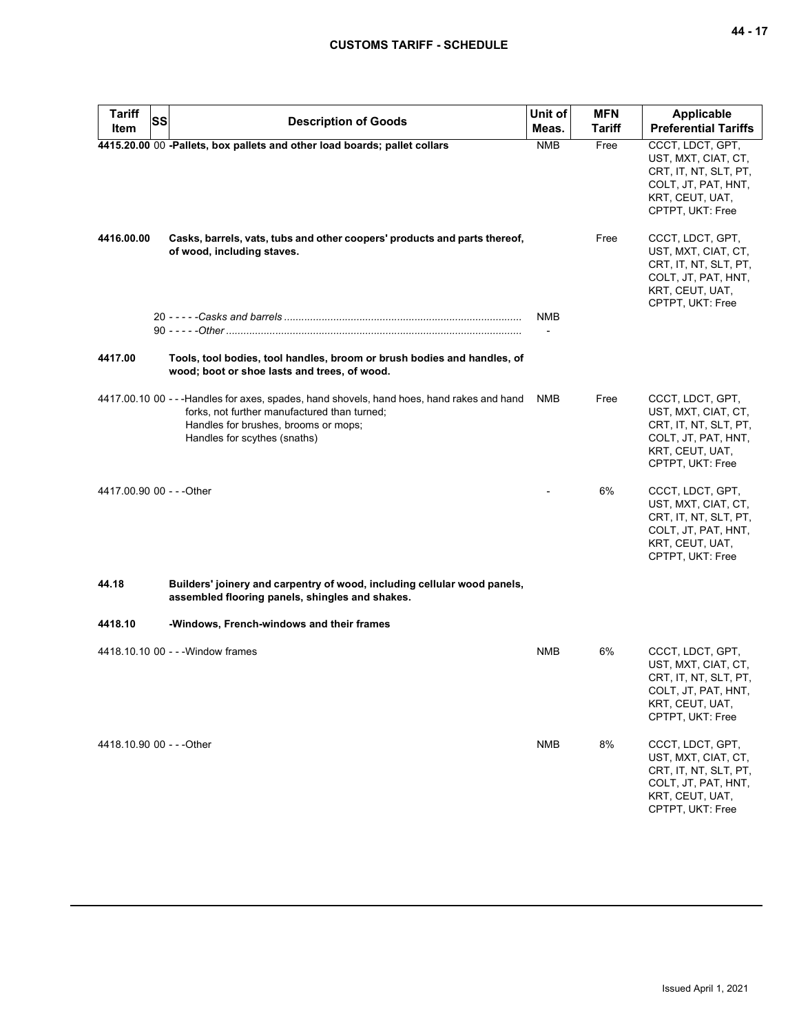| <b>Tariff</b><br><b>SS</b><br>Item | <b>Description of Goods</b>                                                                                                                                                                                        | Unit of<br>Meas. | <b>MFN</b><br>Tariff | <b>Applicable</b><br><b>Preferential Tariffs</b>                                                                               |
|------------------------------------|--------------------------------------------------------------------------------------------------------------------------------------------------------------------------------------------------------------------|------------------|----------------------|--------------------------------------------------------------------------------------------------------------------------------|
|                                    | 4415.20.00 00 -Pallets, box pallets and other load boards; pallet collars                                                                                                                                          | <b>NMB</b>       | Free                 | CCCT, LDCT, GPT,<br>UST, MXT, CIAT, CT,<br>CRT, IT, NT, SLT, PT,<br>COLT, JT, PAT, HNT,<br>KRT, CEUT, UAT,<br>CPTPT, UKT: Free |
| 4416.00.00                         | Casks, barrels, vats, tubs and other coopers' products and parts thereof,<br>of wood, including staves.                                                                                                            |                  | Free                 | CCCT, LDCT, GPT,<br>UST, MXT, CIAT, CT,<br>CRT, IT, NT, SLT, PT,<br>COLT, JT, PAT, HNT,<br>KRT, CEUT, UAT,<br>CPTPT, UKT: Free |
|                                    |                                                                                                                                                                                                                    | NMB              |                      |                                                                                                                                |
| 4417.00                            | Tools, tool bodies, tool handles, broom or brush bodies and handles, of<br>wood; boot or shoe lasts and trees, of wood.                                                                                            |                  |                      |                                                                                                                                |
|                                    | 4417.00.10 00 - - - Handles for axes, spades, hand shovels, hand hoes, hand rakes and hand<br>forks, not further manufactured than turned;<br>Handles for brushes, brooms or mops;<br>Handles for scythes (snaths) | <b>NMB</b>       | Free                 | CCCT, LDCT, GPT,<br>UST, MXT, CIAT, CT,<br>CRT, IT, NT, SLT, PT,<br>COLT, JT, PAT, HNT,<br>KRT, CEUT, UAT,<br>CPTPT, UKT: Free |
| 4417.00.90 00 - - - Other          |                                                                                                                                                                                                                    |                  | 6%                   | CCCT, LDCT, GPT,<br>UST, MXT, CIAT, CT,<br>CRT, IT, NT, SLT, PT,<br>COLT, JT, PAT, HNT,<br>KRT, CEUT, UAT,<br>CPTPT, UKT: Free |
| 44.18                              | Builders' joinery and carpentry of wood, including cellular wood panels,<br>assembled flooring panels, shingles and shakes.                                                                                        |                  |                      |                                                                                                                                |
| 4418.10                            | -Windows, French-windows and their frames                                                                                                                                                                          |                  |                      |                                                                                                                                |
|                                    | 4418.10.10 00 - - - Window frames                                                                                                                                                                                  | <b>NMB</b>       | 6%                   | CCCT, LDCT, GPT,<br>UST, MXT, CIAT, CT,<br>CRT, IT, NT, SLT, PT,<br>COLT, JT, PAT, HNT,<br>KRT, CEUT, UAT,<br>CPTPT, UKT: Free |
| 4418.10.90 00 - - - Other          |                                                                                                                                                                                                                    | NMB              | 8%                   | CCCT, LDCT, GPT,<br>UST, MXT, CIAT, CT,<br>CRT, IT, NT, SLT, PT,<br>COLT, JT, PAT, HNT,<br>KRT, CEUT, UAT,<br>CPTPT, UKT: Free |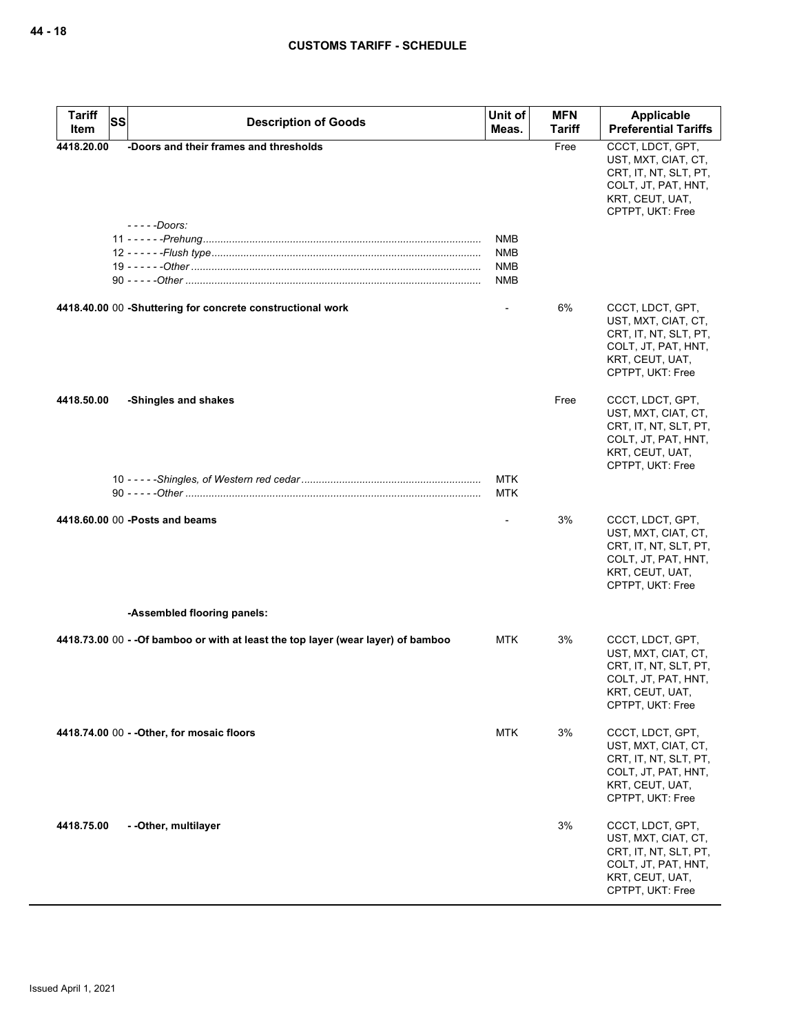| <b>Tariff</b><br><b>SS</b><br>Item | <b>Description of Goods</b>                                                       | Unit of<br>Meas.                              | <b>MFN</b><br>Tariff | Applicable<br><b>Preferential Tariffs</b>                                                                                      |
|------------------------------------|-----------------------------------------------------------------------------------|-----------------------------------------------|----------------------|--------------------------------------------------------------------------------------------------------------------------------|
| 4418.20.00                         | -Doors and their frames and thresholds                                            |                                               | Free                 | CCCT, LDCT, GPT,<br>UST, MXT, CIAT, CT,<br>CRT, IT, NT, SLT, PT,<br>COLT, JT, PAT, HNT,<br>KRT, CEUT, UAT,<br>CPTPT, UKT: Free |
|                                    | - - - - -Doors:                                                                   | <b>NMB</b><br>NMB<br><b>NMB</b><br><b>NMB</b> |                      |                                                                                                                                |
|                                    | 4418.40.00 00 -Shuttering for concrete constructional work                        |                                               | 6%                   | CCCT, LDCT, GPT,<br>UST, MXT, CIAT, CT,<br>CRT, IT, NT, SLT, PT,<br>COLT, JT, PAT, HNT,<br>KRT, CEUT, UAT,<br>CPTPT, UKT: Free |
| 4418.50.00                         | -Shingles and shakes                                                              | <b>MTK</b>                                    | Free                 | CCCT, LDCT, GPT,<br>UST, MXT, CIAT, CT,<br>CRT, IT, NT, SLT, PT,<br>COLT, JT, PAT, HNT,<br>KRT, CEUT, UAT,<br>CPTPT, UKT: Free |
|                                    |                                                                                   | <b>MTK</b>                                    |                      |                                                                                                                                |
|                                    | 4418.60.00 00 - Posts and beams                                                   |                                               | 3%                   | CCCT, LDCT, GPT,<br>UST, MXT, CIAT, CT,<br>CRT, IT, NT, SLT, PT,<br>COLT, JT, PAT, HNT,<br>KRT, CEUT, UAT,<br>CPTPT, UKT: Free |
|                                    | -Assembled flooring panels:                                                       |                                               |                      |                                                                                                                                |
|                                    | 4418.73.00 00 - - Of bamboo or with at least the top layer (wear layer) of bamboo | MTK                                           | 3%                   | CCCT, LDCT, GPT,<br>UST, MXT, CIAT, CT,<br>CRT, IT, NT, SLT, PT,<br>COLT, JT, PAT, HNT,<br>KRT, CEUT, UAT,<br>CPTPT, UKT: Free |
|                                    | 4418.74.00 00 - - Other, for mosaic floors                                        | <b>MTK</b>                                    | 3%                   | CCCT, LDCT, GPT,<br>UST, MXT, CIAT, CT,<br>CRT, IT, NT, SLT, PT,<br>COLT, JT, PAT, HNT,<br>KRT, CEUT, UAT,<br>CPTPT, UKT: Free |
| 4418.75.00                         | - - Other, multilayer                                                             |                                               | 3%                   | CCCT, LDCT, GPT,<br>UST, MXT, CIAT, CT,<br>CRT, IT, NT, SLT, PT,<br>COLT, JT, PAT, HNT,<br>KRT, CEUT, UAT,<br>CPTPT, UKT: Free |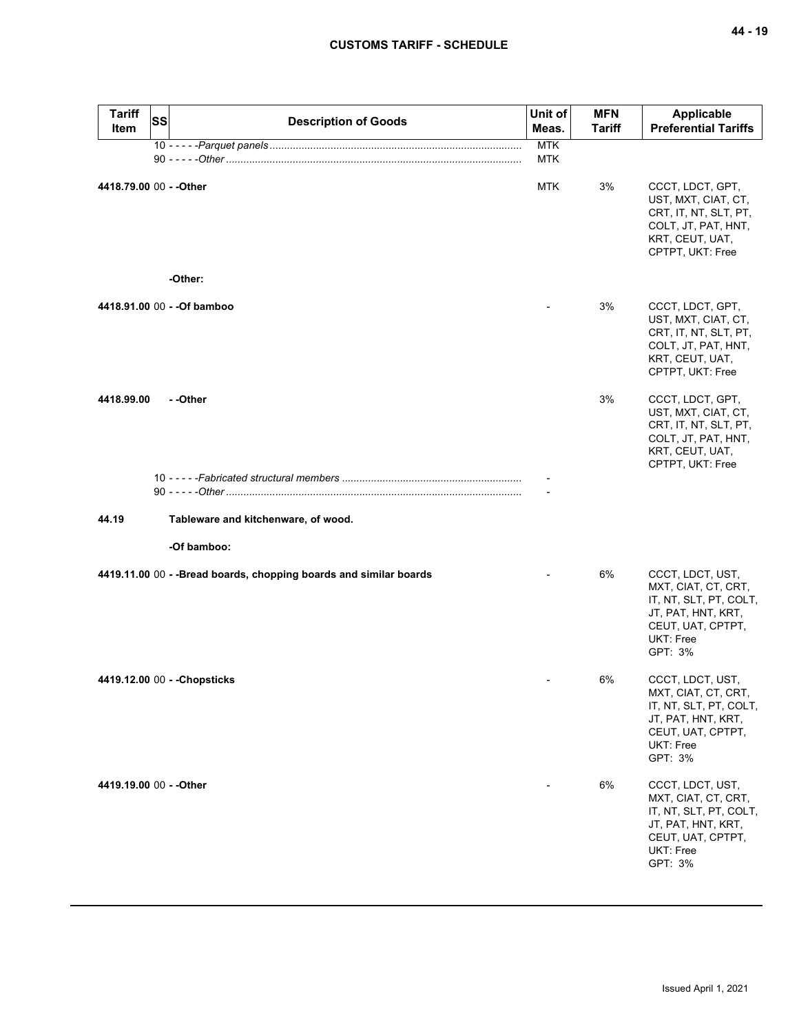| <b>Tariff</b><br>Item   | <b>SS</b> | <b>Description of Goods</b>                                        | Unit of<br>Meas.         | <b>MFN</b><br><b>Tariff</b> | Applicable<br><b>Preferential Tariffs</b>                                                                                            |
|-------------------------|-----------|--------------------------------------------------------------------|--------------------------|-----------------------------|--------------------------------------------------------------------------------------------------------------------------------------|
|                         |           |                                                                    | <b>MTK</b><br><b>MTK</b> |                             |                                                                                                                                      |
| 4418.79.00 00 - - Other |           |                                                                    | <b>MTK</b>               | 3%                          | CCCT, LDCT, GPT,<br>UST, MXT, CIAT, CT,<br>CRT, IT, NT, SLT, PT,<br>COLT, JT, PAT, HNT,<br>KRT, CEUT, UAT,<br>CPTPT, UKT: Free       |
|                         |           | -Other:                                                            |                          |                             |                                                                                                                                      |
|                         |           | 4418.91.00 00 - - Of bamboo                                        |                          | 3%                          | CCCT, LDCT, GPT,<br>UST, MXT, CIAT, CT,<br>CRT, IT, NT, SLT, PT,<br>COLT, JT, PAT, HNT,<br>KRT, CEUT, UAT,<br>CPTPT, UKT: Free       |
| 4418.99.00              |           | - -Other                                                           |                          | 3%                          | CCCT, LDCT, GPT,<br>UST, MXT, CIAT, CT,<br>CRT, IT, NT, SLT, PT,<br>COLT, JT, PAT, HNT,<br>KRT, CEUT, UAT,<br>CPTPT, UKT: Free       |
|                         |           |                                                                    |                          |                             |                                                                                                                                      |
|                         |           |                                                                    |                          |                             |                                                                                                                                      |
| 44.19                   |           | Tableware and kitchenware, of wood.                                |                          |                             |                                                                                                                                      |
|                         |           | -Of bamboo:                                                        |                          |                             |                                                                                                                                      |
|                         |           | 4419.11.00 00 - - Bread boards, chopping boards and similar boards |                          | 6%                          | CCCT, LDCT, UST,<br>MXT, CIAT, CT, CRT,<br>IT, NT, SLT, PT, COLT,<br>JT, PAT, HNT, KRT,<br>CEUT, UAT, CPTPT,<br>UKT: Free<br>GPT: 3% |
|                         |           | 4419.12.00 00 - - Chopsticks                                       |                          | 6%                          | CCCT, LDCT, UST,<br>MXT, CIAT, CT, CRT,<br>IT, NT, SLT, PT, COLT,<br>JT, PAT, HNT, KRT,<br>CEUT, UAT, CPTPT,<br>UKT: Free<br>GPT: 3% |
| 4419.19.00 00 - - Other |           |                                                                    |                          | 6%                          | CCCT, LDCT, UST,<br>MXT, CIAT, CT, CRT,<br>IT, NT, SLT, PT, COLT,<br>JT, PAT, HNT, KRT,<br>CEUT, UAT, CPTPT,<br>UKT: Free<br>GPT: 3% |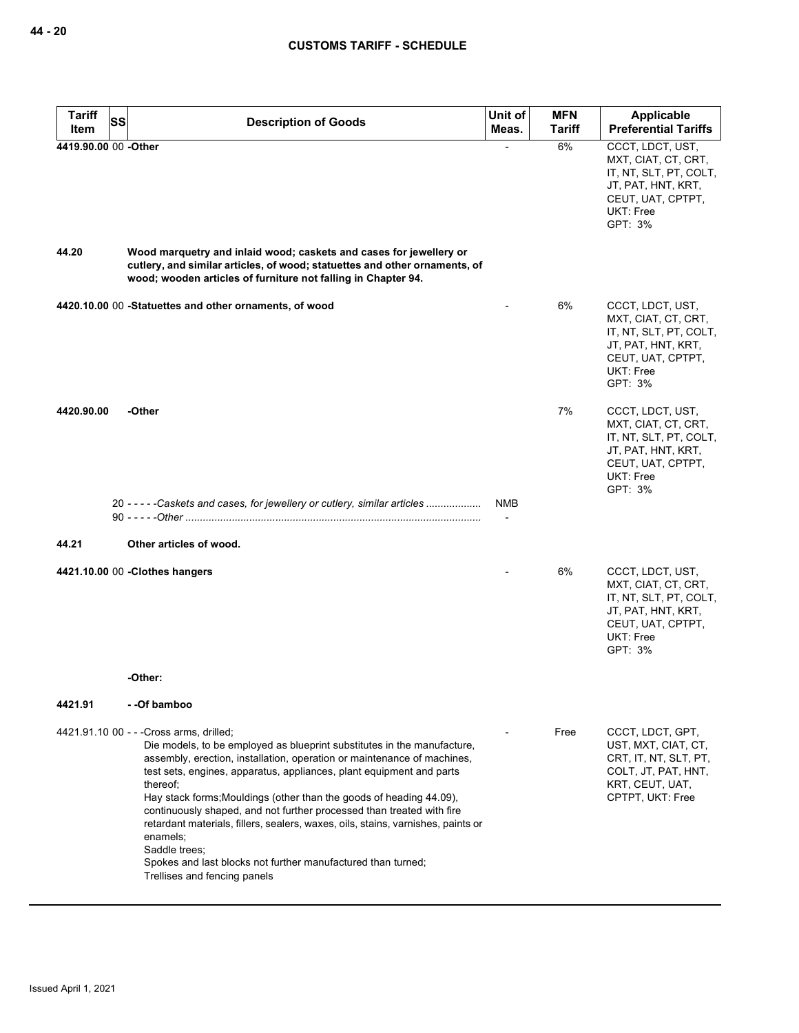| <b>Tariff</b><br>Item | SS<br><b>Description of Goods</b>                                                                                                                                                                                                                                                                                                                                                                                                                                                                                                                                                                                                                   | Unit of<br>Meas. | <b>MFN</b><br><b>Tariff</b> | Applicable<br><b>Preferential Tariffs</b>                                                                                            |
|-----------------------|-----------------------------------------------------------------------------------------------------------------------------------------------------------------------------------------------------------------------------------------------------------------------------------------------------------------------------------------------------------------------------------------------------------------------------------------------------------------------------------------------------------------------------------------------------------------------------------------------------------------------------------------------------|------------------|-----------------------------|--------------------------------------------------------------------------------------------------------------------------------------|
| 4419.90.00 00 -Other  |                                                                                                                                                                                                                                                                                                                                                                                                                                                                                                                                                                                                                                                     |                  | 6%                          | CCCT, LDCT, UST,<br>MXT, CIAT, CT, CRT,<br>IT, NT, SLT, PT, COLT,<br>JT, PAT, HNT, KRT,<br>CEUT, UAT, CPTPT,<br>UKT: Free<br>GPT: 3% |
| 44.20                 | Wood marquetry and inlaid wood; caskets and cases for jewellery or<br>cutlery, and similar articles, of wood; statuettes and other ornaments, of<br>wood; wooden articles of furniture not falling in Chapter 94.                                                                                                                                                                                                                                                                                                                                                                                                                                   |                  |                             |                                                                                                                                      |
|                       | 4420.10.00 00 -Statuettes and other ornaments, of wood                                                                                                                                                                                                                                                                                                                                                                                                                                                                                                                                                                                              |                  | 6%                          | CCCT, LDCT, UST,<br>MXT, CIAT, CT, CRT,<br>IT, NT, SLT, PT, COLT,<br>JT, PAT, HNT, KRT,<br>CEUT, UAT, CPTPT,<br>UKT: Free<br>GPT: 3% |
| 4420.90.00            | -Other                                                                                                                                                                                                                                                                                                                                                                                                                                                                                                                                                                                                                                              |                  | 7%                          | CCCT, LDCT, UST,<br>MXT, CIAT, CT, CRT,<br>IT, NT, SLT, PT, COLT,<br>JT, PAT, HNT, KRT,<br>CEUT, UAT, CPTPT,<br>UKT: Free<br>GPT: 3% |
|                       | 20 - - - - - Caskets and cases, for jewellery or cutlery, similar articles                                                                                                                                                                                                                                                                                                                                                                                                                                                                                                                                                                          | <b>NMB</b>       |                             |                                                                                                                                      |
| 44.21                 | Other articles of wood.                                                                                                                                                                                                                                                                                                                                                                                                                                                                                                                                                                                                                             |                  |                             |                                                                                                                                      |
|                       | 4421.10.00 00 -Clothes hangers                                                                                                                                                                                                                                                                                                                                                                                                                                                                                                                                                                                                                      |                  | 6%                          | CCCT, LDCT, UST,<br>MXT, CIAT, CT, CRT,<br>IT, NT, SLT, PT, COLT,<br>JT, PAT, HNT, KRT,<br>CEUT, UAT, CPTPT,<br>UKT: Free<br>GPT: 3% |
|                       | -Other:                                                                                                                                                                                                                                                                                                                                                                                                                                                                                                                                                                                                                                             |                  |                             |                                                                                                                                      |
| 4421.91               | - -Of bamboo                                                                                                                                                                                                                                                                                                                                                                                                                                                                                                                                                                                                                                        |                  |                             |                                                                                                                                      |
|                       | 4421.91.10 00 - - - Cross arms, drilled;<br>Die models, to be employed as blueprint substitutes in the manufacture,<br>assembly, erection, installation, operation or maintenance of machines,<br>test sets, engines, apparatus, appliances, plant equipment and parts<br>thereof;<br>Hay stack forms; Mouldings (other than the goods of heading 44.09),<br>continuously shaped, and not further processed than treated with fire<br>retardant materials, fillers, sealers, waxes, oils, stains, varnishes, paints or<br>enamels:<br>Saddle trees;<br>Spokes and last blocks not further manufactured than turned;<br>Trellises and fencing panels |                  | Free                        | CCCT, LDCT, GPT,<br>UST, MXT, CIAT, CT,<br>CRT, IT, NT, SLT, PT,<br>COLT, JT, PAT, HNT,<br>KRT, CEUT, UAT,<br>CPTPT, UKT: Free       |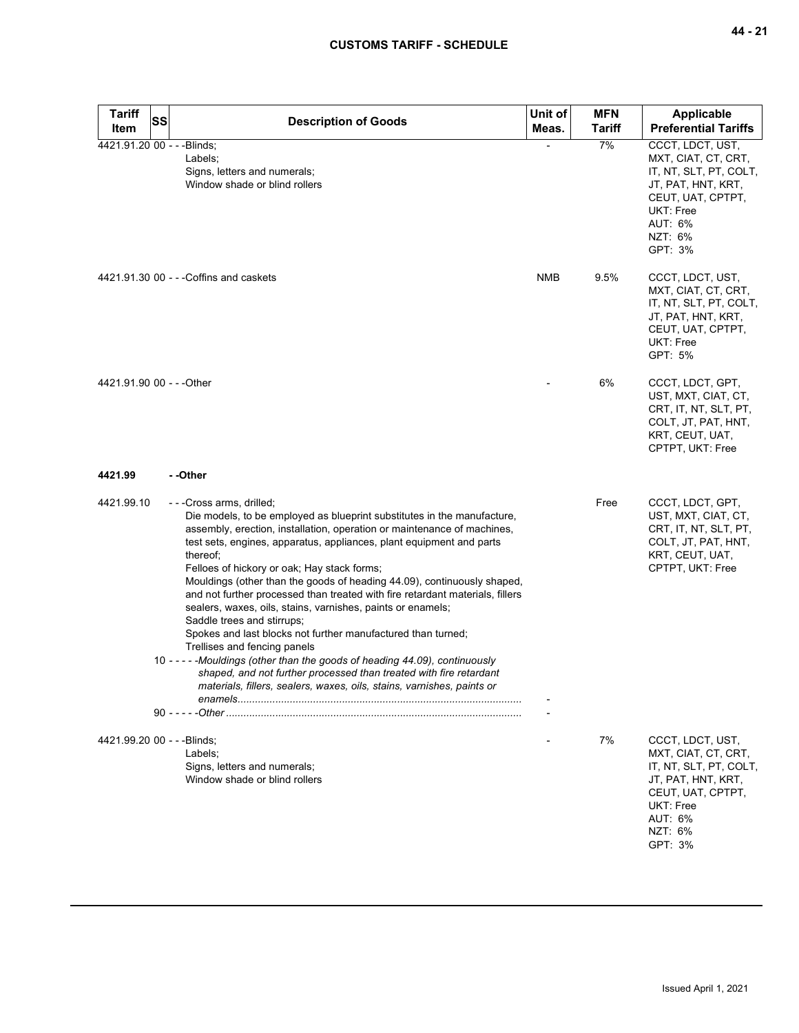| <b>Tariff</b><br><b>SS</b>  | <b>Description of Goods</b>                                                                                                                                                                                                                                                                                                                                                                                                                                                                                                                                                                                                                                                                                                                                                                                                                                                                               | Unit of    | <b>MFN</b>    | Applicable                                                                                                                                                        |
|-----------------------------|-----------------------------------------------------------------------------------------------------------------------------------------------------------------------------------------------------------------------------------------------------------------------------------------------------------------------------------------------------------------------------------------------------------------------------------------------------------------------------------------------------------------------------------------------------------------------------------------------------------------------------------------------------------------------------------------------------------------------------------------------------------------------------------------------------------------------------------------------------------------------------------------------------------|------------|---------------|-------------------------------------------------------------------------------------------------------------------------------------------------------------------|
| Item                        |                                                                                                                                                                                                                                                                                                                                                                                                                                                                                                                                                                                                                                                                                                                                                                                                                                                                                                           | Meas.      | <b>Tariff</b> | <b>Preferential Tariffs</b>                                                                                                                                       |
| 4421.91.20 00 - - - Blinds; | Labels;<br>Signs, letters and numerals;<br>Window shade or blind rollers                                                                                                                                                                                                                                                                                                                                                                                                                                                                                                                                                                                                                                                                                                                                                                                                                                  |            | 7%            | CCCT, LDCT, UST,<br>MXT, CIAT, CT, CRT,<br>IT, NT, SLT, PT, COLT,<br>JT, PAT, HNT, KRT,<br>CEUT, UAT, CPTPT,<br><b>UKT: Free</b><br>AUT: 6%<br>NZT: 6%<br>GPT: 3% |
|                             | 4421.91.30 00 - - - Coffins and caskets                                                                                                                                                                                                                                                                                                                                                                                                                                                                                                                                                                                                                                                                                                                                                                                                                                                                   | <b>NMB</b> | 9.5%          | CCCT, LDCT, UST,<br>MXT, CIAT, CT, CRT,<br>IT, NT, SLT, PT, COLT,<br>JT, PAT, HNT, KRT,<br>CEUT, UAT, CPTPT,<br>UKT: Free<br>GPT: 5%                              |
| 4421.91.90 00 - - - Other   |                                                                                                                                                                                                                                                                                                                                                                                                                                                                                                                                                                                                                                                                                                                                                                                                                                                                                                           |            | 6%            | CCCT, LDCT, GPT,<br>UST, MXT, CIAT, CT,<br>CRT, IT, NT, SLT, PT,<br>COLT, JT, PAT, HNT,<br>KRT, CEUT, UAT,<br>CPTPT, UKT: Free                                    |
| 4421.99                     | - -Other                                                                                                                                                                                                                                                                                                                                                                                                                                                                                                                                                                                                                                                                                                                                                                                                                                                                                                  |            |               |                                                                                                                                                                   |
| 4421.99.10                  | ---Cross arms, drilled;<br>Die models, to be employed as blueprint substitutes in the manufacture,<br>assembly, erection, installation, operation or maintenance of machines,<br>test sets, engines, apparatus, appliances, plant equipment and parts<br>thereof;<br>Felloes of hickory or oak; Hay stack forms;<br>Mouldings (other than the goods of heading 44.09), continuously shaped,<br>and not further processed than treated with fire retardant materials, fillers<br>sealers, waxes, oils, stains, varnishes, paints or enamels;<br>Saddle trees and stirrups;<br>Spokes and last blocks not further manufactured than turned;<br>Trellises and fencing panels<br>10 - - - - - Mouldings (other than the goods of heading 44.09), continuously<br>shaped, and not further processed than treated with fire retardant<br>materials, fillers, sealers, waxes, oils, stains, varnishes, paints or |            | Free          | CCCT, LDCT, GPT,<br>UST, MXT, CIAT, CT,<br>CRT, IT, NT, SLT, PT,<br>COLT, JT, PAT, HNT,<br>KRT, CEUT, UAT,<br>CPTPT, UKT: Free                                    |
| 4421.99.20 00 - - -Blinds;  | Labels:<br>Signs, letters and numerals;<br>Window shade or blind rollers                                                                                                                                                                                                                                                                                                                                                                                                                                                                                                                                                                                                                                                                                                                                                                                                                                  |            | 7%            | CCCT, LDCT, UST,<br>MXT, CIAT, CT, CRT,<br>IT, NT, SLT, PT, COLT,<br>JT, PAT, HNT, KRT,<br>CEUT, UAT, CPTPT,<br><b>UKT: Free</b><br>AUT: 6%<br>NZT: 6%<br>GPT: 3% |